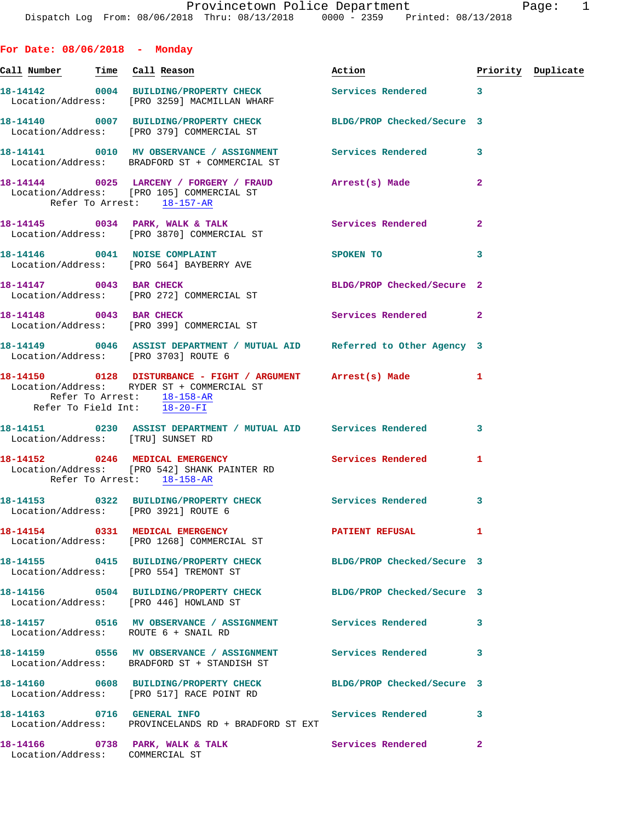**For Date: 08/06/2018 - Monday**

| <u>Call Number — Time Call Reason</u> |                                                                                                                                                                         | Action                     |              | Priority Duplicate |
|---------------------------------------|-------------------------------------------------------------------------------------------------------------------------------------------------------------------------|----------------------------|--------------|--------------------|
|                                       | 18-14142 0004 BUILDING/PROPERTY CHECK Services Rendered 3<br>Location/Address: [PRO 3259] MACMILLAN WHARF                                                               |                            |              |                    |
|                                       | 18-14140 0007 BUILDING/PROPERTY CHECK<br>Location/Address: [PRO 379] COMMERCIAL ST                                                                                      | BLDG/PROP Checked/Secure 3 |              |                    |
|                                       | 18-14141 0010 MV OBSERVANCE / ASSIGNMENT<br>Location/Address: BRADFORD ST + COMMERCIAL ST                                                                               | Services Rendered          | $\mathbf{3}$ |                    |
|                                       | 18-14144 0025 LARCENY / FORGERY / FRAUD Arrest(s) Made<br>Location/Address: [PRO 105] COMMERCIAL ST<br>Refer To Arrest: 18-157-AR                                       |                            | $\mathbf{2}$ |                    |
|                                       | 18-14145 0034 PARK, WALK & TALK<br>Location/Address: [PRO 3870] COMMERCIAL ST                                                                                           | Services Rendered          | $\mathbf{2}$ |                    |
|                                       | 18-14146 0041 NOISE COMPLAINT<br>Location/Address: [PRO 564] BAYBERRY AVE                                                                                               | SPOKEN TO                  | 3            |                    |
|                                       | 18-14147 0043 BAR CHECK<br>Location/Address: [PRO 272] COMMERCIAL ST                                                                                                    | BLDG/PROP Checked/Secure 2 |              |                    |
| 18-14148 0043 BAR CHECK               | Location/Address: [PRO 399] COMMERCIAL ST                                                                                                                               | Services Rendered 2        |              |                    |
|                                       | 18-14149 0046 ASSIST DEPARTMENT / MUTUAL AID Referred to Other Agency 3<br>Location/Address: [PRO 3703] ROUTE 6                                                         |                            |              |                    |
|                                       | 18-14150 0128 DISTURBANCE - FIGHT / ARGUMENT Arrest(s) Made<br>Location/Address: RYDER ST + COMMERCIAL ST<br>Refer To Arrest: 18-158-AR<br>Refer To Field Int: 18-20-FI |                            | $\mathbf{1}$ |                    |
| Location/Address: [TRU] SUNSET RD     | 18-14151 		 0230 ASSIST DEPARTMENT / MUTUAL AID Services Rendered                                                                                                       |                            | 3            |                    |
|                                       | 18-14152 0246 MEDICAL EMERGENCY<br>Location/Address: [PRO 542] SHANK PAINTER RD<br>Refer To Arrest: 18-158-AR                                                           | Services Rendered          | 1            |                    |
|                                       | 18-14153 0322 BUILDING/PROPERTY CHECK Services Rendered<br>Location/Address: [PRO 3921] ROUTE 6                                                                         |                            | 3            |                    |
|                                       | 18-14154 0331 MEDICAL EMERGENCY<br>Location/Address: [PRO 1268] COMMERCIAL ST                                                                                           | PATIENT REFUSAL            | 1            |                    |
|                                       | 18-14155 0415 BUILDING/PROPERTY CHECK<br>Location/Address: [PRO 554] TREMONT ST                                                                                         | BLDG/PROP Checked/Secure 3 |              |                    |
|                                       | 18-14156 0504 BUILDING/PROPERTY CHECK BLDG/PROP Checked/Secure 3<br>Location/Address: [PRO 446] HOWLAND ST                                                              |                            |              |                    |
|                                       | Location/Address: ROUTE 6 + SNAIL RD                                                                                                                                    |                            | 3            |                    |
|                                       | 18-14159 0556 MV OBSERVANCE / ASSIGNMENT<br>Location/Address: BRADFORD ST + STANDISH ST                                                                                 | Services Rendered          | 3            |                    |
|                                       | 18-14160 0608 BUILDING/PROPERTY CHECK BLDG/PROP Checked/Secure 3<br>Location/Address: [PRO 517] RACE POINT RD                                                           |                            |              |                    |
|                                       | 18-14163 0716 GENERAL INFO<br>Location/Address: PROVINCELANDS RD + BRADFORD ST EXT                                                                                      | <b>Services Rendered</b>   | 3            |                    |
| Location/Address: COMMERCIAL ST       | 18-14166 0738 PARK, WALK & TALK                                                                                                                                         | Services Rendered 2        |              |                    |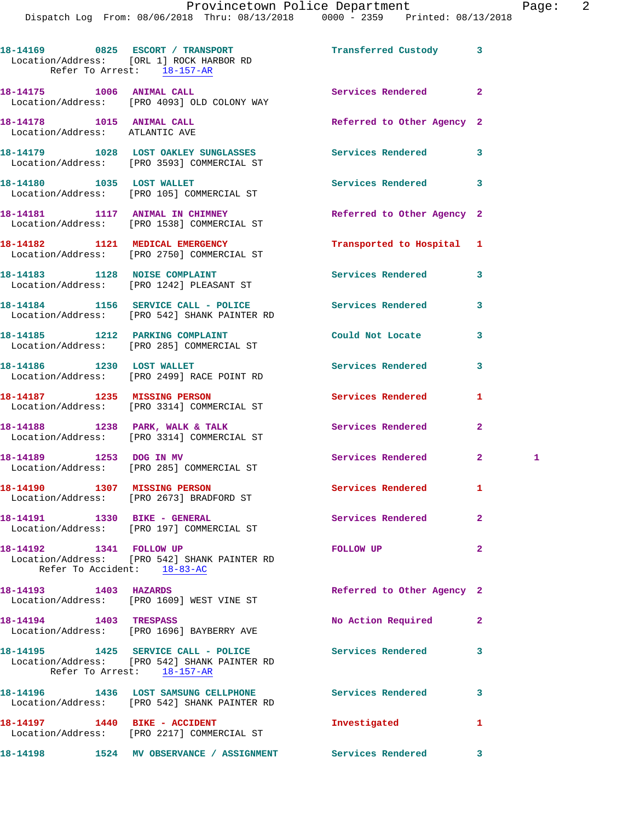Dispatch Log From: 08/06/2018 Thru: 08/13/2018 0000 - 2359 Printed: 08/13/2018

|                                                                   | 18-14169 0825 ESCORT / TRANSPORT<br>Location/Address: [ORL 1] ROCK HARBOR RD<br>Refer To Arrest: 18-157-AR | Transferred Custody 3      |                |    |
|-------------------------------------------------------------------|------------------------------------------------------------------------------------------------------------|----------------------------|----------------|----|
| 18-14175 1006 ANIMAL CALL                                         | Location/Address: [PRO 4093] OLD COLONY WAY                                                                | <b>Services Rendered</b>   | $\overline{2}$ |    |
| 18-14178    1015    ANIMAL CALL<br>Location/Address: ATLANTIC AVE |                                                                                                            | Referred to Other Agency 2 |                |    |
|                                                                   | 18-14179 1028 LOST OAKLEY SUNGLASSES<br>Location/Address: [PRO 3593] COMMERCIAL ST                         | Services Rendered          | 3              |    |
|                                                                   | 18-14180 1035 LOST WALLET<br>Location/Address: [PRO 105] COMMERCIAL ST                                     | Services Rendered          | 3              |    |
|                                                                   | 18-14181 1117 ANIMAL IN CHIMNEY<br>Location/Address: [PRO 1538] COMMERCIAL ST                              | Referred to Other Agency 2 |                |    |
|                                                                   | 18-14182 1121 MEDICAL EMERGENCY<br>Location/Address: [PRO 2750] COMMERCIAL ST                              | Transported to Hospital 1  |                |    |
|                                                                   | 18-14183 1128 NOISE COMPLAINT<br>Location/Address: [PRO 1242] PLEASANT ST                                  | <b>Services Rendered</b>   | 3              |    |
|                                                                   | 18-14184 1156 SERVICE CALL - POLICE<br>Location/Address: [PRO 542] SHANK PAINTER RD                        | <b>Services Rendered</b>   | 3              |    |
|                                                                   | 18-14185 1212 PARKING COMPLAINT<br>Location/Address: [PRO 285] COMMERCIAL ST                               | Could Not Locate           | 3              |    |
|                                                                   | 18-14186 1230 LOST WALLET<br>Location/Address: [PRO 2499] RACE POINT RD                                    | Services Rendered          | 3              |    |
| 18-14187 1235 MISSING PERSON                                      | Location/Address: [PRO 3314] COMMERCIAL ST                                                                 | Services Rendered          | 1              |    |
|                                                                   | 18-14188 1238 PARK, WALK & TALK<br>Location/Address: [PRO 3314] COMMERCIAL ST                              | Services Rendered          | $\overline{2}$ |    |
| 18-14189 1253 DOG IN MV                                           | Location/Address: [PRO 285] COMMERCIAL ST                                                                  | Services Rendered          | $\mathbf{2}$   | -1 |
| 18-14190 1307 MISSING PERSON                                      | Location/Address: [PRO 2673] BRADFORD ST                                                                   | Services Rendered          | $\mathbf{1}$   |    |
| 18-14191    1330 BIKE - GENERAL                                   | Location/Address: [PRO 197] COMMERCIAL ST                                                                  | Services Rendered          | $\mathbf{2}$   |    |
| 18-14192 1341 FOLLOW UP                                           | Location/Address: [PRO 542] SHANK PAINTER RD<br>Refer To Accident: 18-83-AC                                | FOLLOW UP                  | $\overline{a}$ |    |
|                                                                   | 18-14193    1403    HAZARDS<br>Location/Address: [PRO 1609] WEST VINE ST                                   | Referred to Other Agency 2 |                |    |
| 18-14194 1403 TRESPASS                                            | Location/Address: [PRO 1696] BAYBERRY AVE                                                                  | No Action Required         | $\overline{2}$ |    |
| Refer To Arrest: 18-157-AR                                        | 18-14195 1425 SERVICE CALL - POLICE Services Rendered<br>Location/Address: [PRO 542] SHANK PAINTER RD      |                            | 3              |    |
|                                                                   | 18-14196 1436 LOST SAMSUNG CELLPHONE<br>Location/Address: [PRO 542] SHANK PAINTER RD                       | Services Rendered          | 3              |    |
|                                                                   | 18-14197   1440 BIKE - ACCIDENT<br>Location/Address: [PRO 2217] COMMERCIAL ST                              | Investigated               | 1              |    |
|                                                                   | 18-14198 1524 MV OBSERVANCE / ASSIGNMENT Services Rendered                                                 |                            | 3              |    |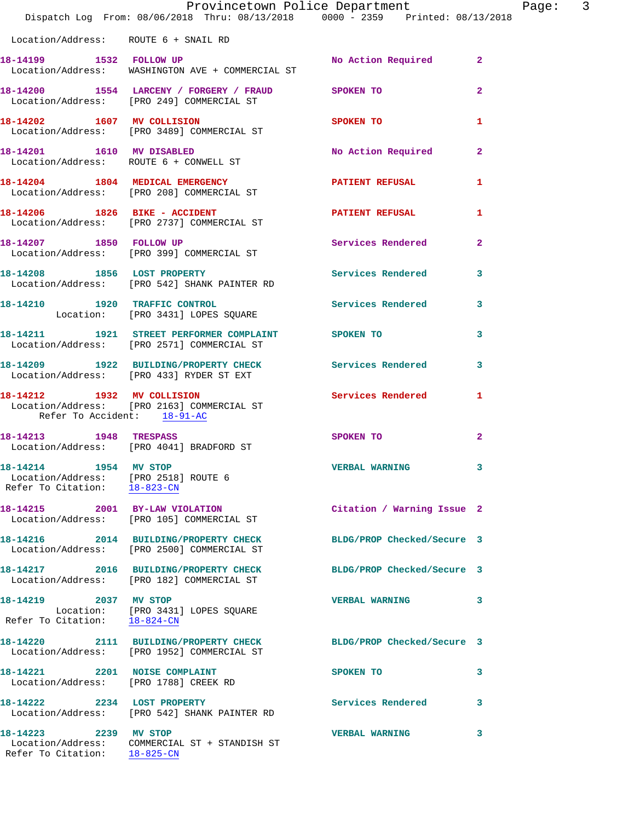|                                                                                               | Provincetown Police Department<br>Dispatch Log From: 08/06/2018 Thru: 08/13/2018 0000 - 2359 Printed: 08/13/2018 |                            |                |
|-----------------------------------------------------------------------------------------------|------------------------------------------------------------------------------------------------------------------|----------------------------|----------------|
| Location/Address: ROUTE 6 + SNAIL RD                                                          |                                                                                                                  |                            |                |
| 18-14199 1532 FOLLOW UP                                                                       | Location/Address: WASHINGTON AVE + COMMERCIAL ST                                                                 | No Action Required         | $\mathbf{2}$   |
|                                                                                               | 18-14200 1554 LARCENY / FORGERY / FRAUD SPOKEN TO<br>Location/Address: [PRO 249] COMMERCIAL ST                   |                            | $\mathbf{2}$   |
| 18-14202 1607 MV COLLISION                                                                    | Location/Address: [PRO 3489] COMMERCIAL ST                                                                       | <b>SPOKEN TO</b>           | 1              |
|                                                                                               | 18-14201 1610 MV DISABLED<br>Location/Address: ROUTE 6 + CONWELL ST                                              | No Action Required         | $\overline{2}$ |
|                                                                                               | 18-14204 1804 MEDICAL EMERGENCY<br>Location/Address: [PRO 208] COMMERCIAL ST                                     | <b>PATIENT REFUSAL</b>     | 1              |
|                                                                                               | 18-14206 1826 BIKE - ACCIDENT<br>Location/Address: [PRO 2737] COMMERCIAL ST                                      | <b>PATIENT REFUSAL</b>     | 1              |
| 18-14207 1850 FOLLOW UP                                                                       | Location/Address: [PRO 399] COMMERCIAL ST                                                                        | Services Rendered          | $\mathbf{2}$   |
|                                                                                               | 18-14208 1856 LOST PROPERTY<br>Location/Address: [PRO 542] SHANK PAINTER RD                                      | <b>Services Rendered</b>   | 3              |
|                                                                                               | 18-14210 1920 TRAFFIC CONTROL<br>Location: [PRO 3431] LOPES SQUARE                                               | <b>Services Rendered</b>   | 3              |
|                                                                                               | 18-14211 1921 STREET PERFORMER COMPLAINT SPOKEN TO<br>Location/Address: [PRO 2571] COMMERCIAL ST                 |                            | 3              |
|                                                                                               | 18-14209 1922 BUILDING/PROPERTY CHECK Services Rendered<br>Location/Address: [PRO 433] RYDER ST EXT              |                            | 3              |
| 18-14212 1932 MV COLLISION<br>Refer To Accident: 18-91-AC                                     | Location/Address: [PRO 2163] COMMERCIAL ST                                                                       | Services Rendered          | 1              |
|                                                                                               | 18-14213 1948 TRESPASS<br>Location/Address: [PRO 4041] BRADFORD ST                                               | <b>SPOKEN TO</b>           | $\mathbf{2}$   |
| 18-14214 1954 MV STOP<br>Location/Address: [PRO 2518] ROUTE 6<br>Refer To Citation: 18-823-CN |                                                                                                                  | <b>VERBAL WARNING</b>      |                |
|                                                                                               | 18-14215 2001 BY-LAW VIOLATION<br>Location/Address: [PRO 105] COMMERCIAL ST                                      | Citation / Warning Issue 2 |                |
|                                                                                               | 18-14216 2014 BUILDING/PROPERTY CHECK<br>Location/Address: [PRO 2500] COMMERCIAL ST                              | BLDG/PROP Checked/Secure 3 |                |
|                                                                                               | 18-14217 2016 BUILDING/PROPERTY CHECK<br>Location/Address: [PRO 182] COMMERCIAL ST                               | BLDG/PROP Checked/Secure 3 |                |
| 18-14219 2037 MV STOP                                                                         | Location: [PRO 3431] LOPES SQUARE<br>Refer To Citation: 18-824-CN                                                | <b>VERBAL WARNING</b>      | 3              |
|                                                                                               | 18-14220 2111 BUILDING/PROPERTY CHECK<br>Location/Address: [PRO 1952] COMMERCIAL ST                              | BLDG/PROP Checked/Secure 3 |                |
| 18-14221 2201 NOISE COMPLAINT<br>Location/Address: [PRO 1788] CREEK RD                        |                                                                                                                  | SPOKEN TO                  | 3              |
| 18-14222 2234 LOST PROPERTY                                                                   | Location/Address: [PRO 542] SHANK PAINTER RD                                                                     | <b>Services Rendered</b>   | 3              |
| 18-14223 2239 MV STOP<br>Refer To Citation: 18-825-CN                                         | Location/Address: COMMERCIAL ST + STANDISH ST                                                                    | <b>VERBAL WARNING</b>      | 3              |

Page:  $3$ <br>18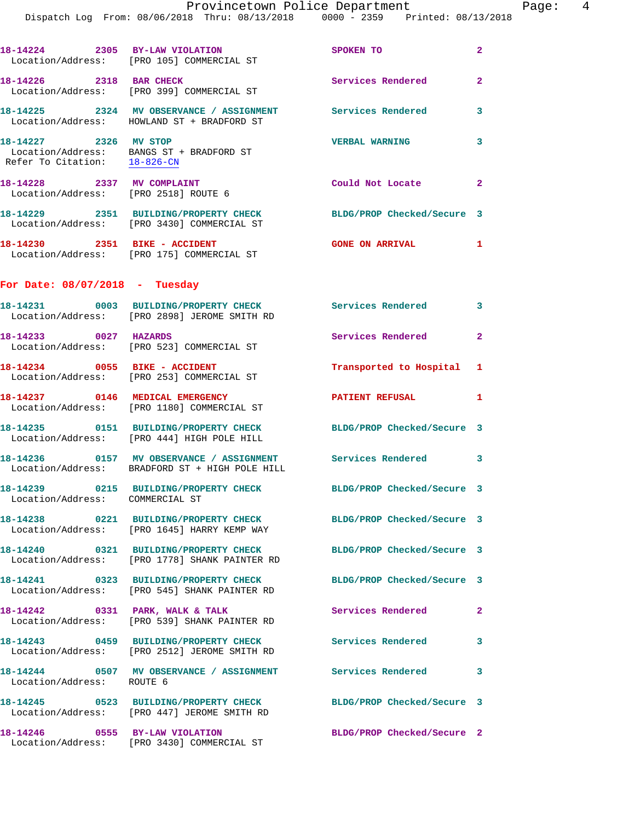|                                                                    | 18-14224 2305 BY-LAW VIOLATION<br>Location/Address: [PRO 105] COMMERCIAL ST                               | SPOKEN TO                  | $\mathbf{2}$               |
|--------------------------------------------------------------------|-----------------------------------------------------------------------------------------------------------|----------------------------|----------------------------|
| 18-14226 2318 BAR CHECK                                            | Location/Address: [PRO 399] COMMERCIAL ST                                                                 | Services Rendered          | $\mathbf{2}$               |
|                                                                    | 18-14225 2324 MV OBSERVANCE / ASSIGNMENT<br>Location/Address: HOWLAND ST + BRADFORD ST                    | Services Rendered          | 3                          |
| 18-14227 2326 MV STOP<br>Refer To Citation: 18-826-CN              | Location/Address: BANGS ST + BRADFORD ST                                                                  | <b>VERBAL WARNING</b>      | 3                          |
| 18-14228 2337 MV COMPLAINT<br>Location/Address: [PRO 2518] ROUTE 6 |                                                                                                           | Could Not Locate           | $\overline{\phantom{0}}$ 2 |
|                                                                    | 18-14229 2351 BUILDING/PROPERTY CHECK<br>Location/Address: [PRO 3430] COMMERCIAL ST                       | BLDG/PROP Checked/Secure 3 |                            |
|                                                                    | 18-14230 2351 BIKE - ACCIDENT<br>Location/Address: [PRO 175] COMMERCIAL ST                                | <b>GONE ON ARRIVAL 1</b>   |                            |
| For Date: $08/07/2018$ - Tuesday                                   |                                                                                                           |                            |                            |
|                                                                    | 18-14231 0003 BUILDING/PROPERTY CHECK Services Rendered 3<br>Location/Address: [PRO 2898] JEROME SMITH RD |                            |                            |
| 18-14233 0027 HAZARDS                                              | Location/Address: [PRO 523] COMMERCIAL ST                                                                 | Services Rendered          | $\mathbf{2}$               |
|                                                                    | 18-14234 0055 BIKE - ACCIDENT<br>Location/Address: [PRO 253] COMMERCIAL ST                                | Transported to Hospital 1  |                            |
| 18-14237 0146 MEDICAL EMERGENCY                                    | Location/Address: [PRO 1180] COMMERCIAL ST                                                                | <b>PATIENT REFUSAL</b>     | $\mathbf{1}$               |
|                                                                    | 18-14235 0151 BUILDING/PROPERTY CHECK<br>Location/Address: [PRO 444] HIGH POLE HILL                       | BLDG/PROP Checked/Secure 3 |                            |
|                                                                    | 18-14236 0157 MV OBSERVANCE / ASSIGNMENT<br>Location/Address: BRADFORD ST + HIGH POLE HILL                | <b>Services Rendered</b> 3 |                            |
| Location/Address: COMMERCIAL ST                                    | 18-14239 0215 BUILDING/PROPERTY CHECK                                                                     | BLDG/PROP Checked/Secure 3 |                            |
|                                                                    | 18-14238 0221 BUILDING/PROPERTY CHECK<br>Location/Address: [PRO 1645] HARRY KEMP WAY                      | BLDG/PROP Checked/Secure 3 |                            |
|                                                                    | 18-14240 0321 BUILDING/PROPERTY CHECK<br>Location/Address: [PRO 1778] SHANK PAINTER RD                    | BLDG/PROP Checked/Secure 3 |                            |
|                                                                    | 18-14241 0323 BUILDING/PROPERTY CHECK<br>Location/Address: [PRO 545] SHANK PAINTER RD                     | BLDG/PROP Checked/Secure 3 |                            |
|                                                                    | 18-14242 0331 PARK, WALK & TALK<br>Location/Address: [PRO 539] SHANK PAINTER RD                           | Services Rendered          | $\mathbf{2}$               |
|                                                                    | 18-14243 0459 BUILDING/PROPERTY CHECK Services Rendered<br>Location/Address: [PRO 2512] JEROME SMITH RD   |                            | $\mathbf{3}$               |
| Location/Address: ROUTE 6                                          | 18-14244 0507 MV OBSERVANCE / ASSIGNMENT Services Rendered                                                |                            | 3                          |
|                                                                    | 18-14245 0523 BUILDING/PROPERTY CHECK<br>Location/Address: [PRO 447] JEROME SMITH RD                      | BLDG/PROP Checked/Secure 3 |                            |
|                                                                    | 18-14246 0555 BY-LAW VIOLATION<br>Location/Address: [PRO 3430] COMMERCIAL ST                              | BLDG/PROP Checked/Secure 2 |                            |
|                                                                    |                                                                                                           |                            |                            |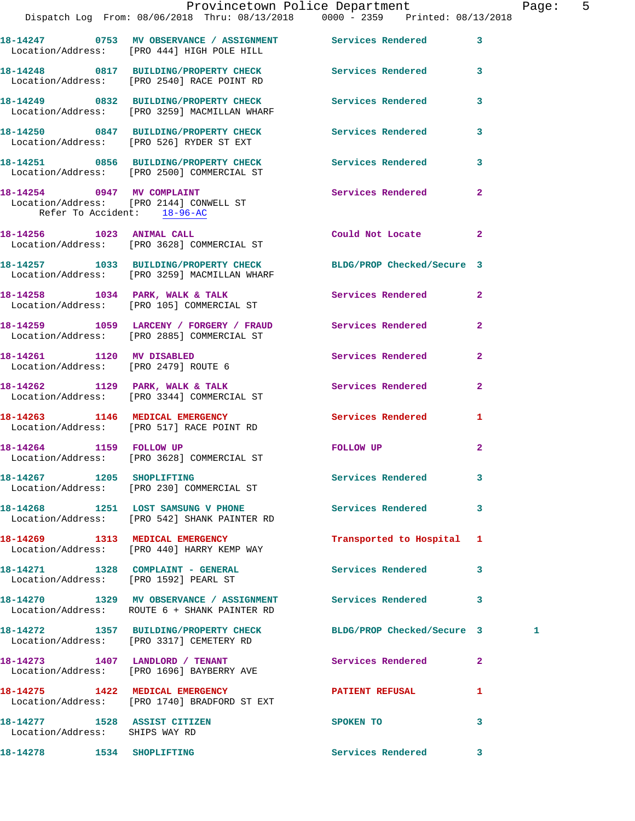|                                                                | Provincetown Police Department Page: 5<br>Dispatch Log From: 08/06/2018 Thru: 08/13/2018   0000 - 2359   Printed: 08/13/2018 |                            |              |   |  |
|----------------------------------------------------------------|------------------------------------------------------------------------------------------------------------------------------|----------------------------|--------------|---|--|
|                                                                | 18-14247 0753 MV OBSERVANCE / ASSIGNMENT Services Rendered 3<br>Location/Address: [PRO 444] HIGH POLE HILL                   |                            |              |   |  |
|                                                                | 18-14248 0817 BUILDING/PROPERTY CHECK Services Rendered 3<br>Location/Address: [PRO 2540] RACE POINT RD                      |                            |              |   |  |
|                                                                | 18-14249 0832 BUILDING/PROPERTY CHECK Services Rendered<br>Location/Address: [PRO 3259] MACMILLAN WHARF                      |                            | 3            |   |  |
|                                                                | 18-14250 0847 BUILDING/PROPERTY CHECK Services Rendered 3<br>Location/Address: [PRO 526] RYDER ST EXT                        |                            |              |   |  |
|                                                                | 18-14251 0856 BUILDING/PROPERTY CHECK Services Rendered<br>Location/Address: [PRO 2500] COMMERCIAL ST                        |                            | $\mathbf{3}$ |   |  |
| Refer To Accident: 18-96-AC                                    | 18-14254 0947 MV COMPLAINT<br>Location/Address: [PRO 2144] CONWELL ST                                                        | Services Rendered          | $\mathbf{2}$ |   |  |
|                                                                | 18-14256 1023 ANIMAL CALL<br>Location/Address: [PRO 3628] COMMERCIAL ST                                                      | Could Not Locate           | $\mathbf{2}$ |   |  |
|                                                                | 18-14257 1033 BUILDING/PROPERTY CHECK BLDG/PROP Checked/Secure 3<br>Location/Address: [PRO 3259] MACMILLAN WHARF             |                            |              |   |  |
|                                                                | 18-14258 1034 PARK, WALK & TALK 1988 Services Rendered 2<br>Location/Address: [PRO 105] COMMERCIAL ST                        |                            |              |   |  |
|                                                                | 18-14259 1059 LARCENY / FORGERY / FRAUD Services Rendered<br>Location/Address: [PRO 2885] COMMERCIAL ST                      |                            | $\mathbf{2}$ |   |  |
| 18-14261 1120 MV DISABLED                                      | Location/Address: [PRO 2479] ROUTE 6                                                                                         | Services Rendered          | $\mathbf{2}$ |   |  |
|                                                                | 18-14262 1129 PARK, WALK & TALK 1988 Services Rendered<br>Location/Address: [PRO 3344] COMMERCIAL ST                         |                            | 2            |   |  |
|                                                                | 18-14263 1146 MEDICAL EMERGENCY<br>Location/Address: [PRO 517] RACE POINT RD                                                 | Services Rendered          | 1.           |   |  |
|                                                                | 18-14264 1159 FOLLOW UP<br>Location/Address: [PRO 3628] COMMERCIAL ST                                                        | FOLLOW UP                  | $\mathbf{2}$ |   |  |
|                                                                | 18-14267 1205 SHOPLIFTING<br>Location/Address: [PRO 230] COMMERCIAL ST                                                       | Services Rendered          | 3            |   |  |
|                                                                | 18-14268 1251 LOST SAMSUNG V PHONE<br>Location/Address: [PRO 542] SHANK PAINTER RD                                           | <b>Services Rendered</b>   | 3            |   |  |
|                                                                | 18-14269 1313 MEDICAL EMERGENCY<br>Location/Address: [PRO 440] HARRY KEMP WAY                                                | Transported to Hospital 1  |              |   |  |
|                                                                | 18-14271 1328 COMPLAINT - GENERAL<br>Location/Address: [PRO 1592] PEARL ST                                                   | <b>Services Rendered</b>   | 3            |   |  |
|                                                                | 18-14270 1329 MV OBSERVANCE / ASSIGNMENT Services Rendered 3<br>Location/Address: ROUTE 6 + SHANK PAINTER RD                 |                            |              |   |  |
|                                                                | 18-14272 1357 BUILDING/PROPERTY CHECK<br>Location/Address: [PRO 3317] CEMETERY RD                                            | BLDG/PROP Checked/Secure 3 |              | 1 |  |
|                                                                | 18-14273 1407 LANDLORD / TENANT<br>Location/Address: [PRO 1696] BAYBERRY AVE                                                 | Services Rendered          | $\mathbf{2}$ |   |  |
|                                                                | 18-14275 1422 MEDICAL EMERGENCY<br>Location/Address: [PRO 1740] BRADFORD ST EXT                                              | <b>PATIENT REFUSAL</b>     | 1            |   |  |
| 18-14277 1528 ASSIST CITIZEN<br>Location/Address: SHIPS WAY RD |                                                                                                                              | SPOKEN TO                  | 3            |   |  |
|                                                                |                                                                                                                              |                            |              |   |  |

**18-14278 1534 SHOPLIFTING Services Rendered 3**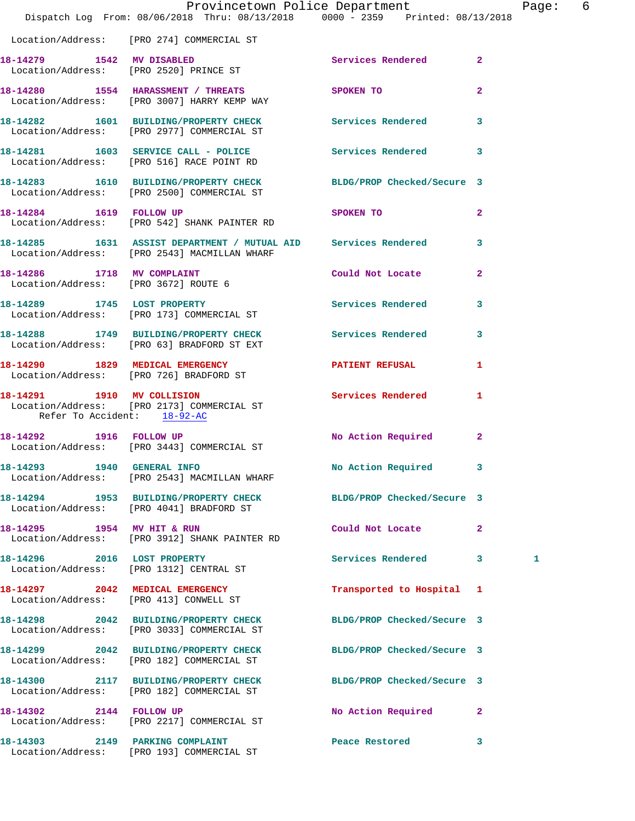|                                      | Provincetown Police Department The Page: 6<br>Dispatch Log From: 08/06/2018 Thru: 08/13/2018 0000 - 2359 Printed: 08/13/2018 |                                       |                            |   |  |
|--------------------------------------|------------------------------------------------------------------------------------------------------------------------------|---------------------------------------|----------------------------|---|--|
|                                      | Location/Address: [PRO 274] COMMERCIAL ST                                                                                    |                                       |                            |   |  |
|                                      | 18-14279 1542 MV DISABLED<br>Location/Address: [PRO 2520] PRINCE ST                                                          | Services Rendered 2                   |                            |   |  |
|                                      | 18-14280 1554 HARASSMENT / THREATS SPOKEN TO<br>Location/Address: [PRO 3007] HARRY KEMP WAY                                  |                                       | $\overline{2}$             |   |  |
|                                      | 18-14282   1601   BUILDING/PROPERTY CHECK   Services Rendered   3<br>Location/Address: [PRO 2977] COMMERCIAL ST              |                                       |                            |   |  |
|                                      | 18-14281 1603 SERVICE CALL - POLICE Services Rendered 3<br>Location/Address: [PRO 516] RACE POINT RD                         |                                       |                            |   |  |
|                                      | 18-14283 1610 BUILDING/PROPERTY CHECK BLDG/PROP Checked/Secure 3<br>Location/Address: [PRO 2500] COMMERCIAL ST               |                                       |                            |   |  |
|                                      | 18-14284    1619    FOLLOW UP<br>Location/Address: [PRO 542] SHANK PAINTER RD                                                | SPOKEN TO                             | $\overline{\phantom{a}}$ 2 |   |  |
|                                      | 18-14285 1631 ASSIST DEPARTMENT / MUTUAL AID Services Rendered 3<br>Location/Address: [PRO 2543] MACMILLAN WHARF             |                                       |                            |   |  |
| Location/Address: [PRO 3672] ROUTE 6 | 18-14286 1718 MV COMPLAINT                                                                                                   | Could Not Locate 2                    |                            |   |  |
|                                      | 18-14289 1745 LOST PROPERTY<br>Location/Address: [PRO 173] COMMERCIAL ST                                                     | Services Rendered 3                   |                            |   |  |
|                                      | 18-14288 1749 BUILDING/PROPERTY CHECK Services Rendered 3<br>Location/Address: [PRO 63] BRADFORD ST EXT                      |                                       |                            |   |  |
|                                      | 18-14290 1829 MEDICAL EMERGENCY<br>Location/Address: [PRO 726] BRADFORD ST                                                   | PATIENT REFUSAL                       | $\mathbf{1}$               |   |  |
| Refer To Accident: 18-92-AC          | 18-14291 1910 MV COLLISION<br>Location/Address: [PRO 2173] COMMERCIAL ST                                                     | Services Rendered 1                   |                            |   |  |
|                                      | 18-14292 1916 FOLLOW UP<br>Location/Address: [PRO 3443] COMMERCIAL ST                                                        | No Action Required 2                  |                            |   |  |
|                                      | 18-14293 1940 GENERAL INFO<br>Location/Address: [PRO 2543] MACMILLAN WHARF                                                   | No Action Required 3                  |                            |   |  |
|                                      | 18-14294 1953 BUILDING/PROPERTY CHECK BLDG/PROP Checked/Secure 3<br>Location/Address: [PRO 4041] BRADFORD ST                 |                                       |                            |   |  |
|                                      | 18-14295 1954 MV HIT & RUN<br>Location/Address: [PRO 3912] SHANK PAINTER RD                                                  | Could Not Locate                      | $\mathbf{2}$               |   |  |
| 18-14296 2016 LOST PROPERTY          | Location/Address: [PRO 1312] CENTRAL ST                                                                                      | Services Rendered 3                   |                            | 1 |  |
|                                      | 18-14297 2042 MEDICAL EMERGENCY<br>Location/Address: [PRO 413] CONWELL ST                                                    | Transported to Hospital 1             |                            |   |  |
|                                      | 18-14298 2042 BUILDING/PROPERTY CHECK BLDG/PROP Checked/Secure 3<br>Location/Address: [PRO 3033] COMMERCIAL ST               |                                       |                            |   |  |
|                                      | 18-14299 2042 BUILDING/PROPERTY CHECK<br>Location/Address: [PRO 182] COMMERCIAL ST                                           | BLDG/PROP Checked/Secure 3            |                            |   |  |
|                                      | 18-14300 2117 BUILDING/PROPERTY CHECK BLDG/PROP Checked/Secure 3<br>Location/Address: [PRO 182] COMMERCIAL ST                |                                       |                            |   |  |
|                                      | 18-14302 2144 FOLLOW UP<br>Location/Address: [PRO 2217] COMMERCIAL ST                                                        | No Action Required 2                  |                            |   |  |
|                                      | 18-14303 2149 PARKING COMPLAINT<br>Location/Address: [PRO 193] COMMERCIAL ST                                                 | Peace Restored and the Peace Restored | 3                          |   |  |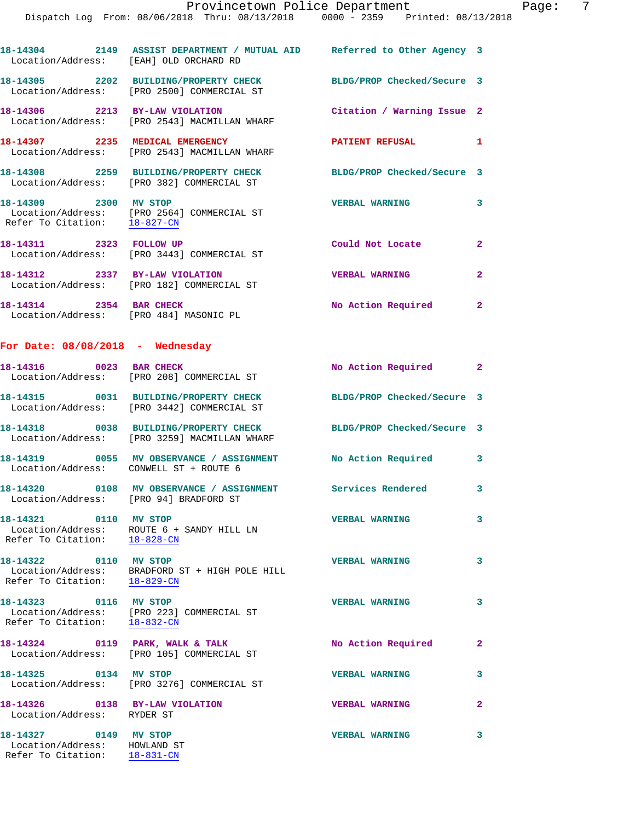| Location/Address: [EAH] OLD ORCHARD RD                            | 18-14304 2149 ASSIST DEPARTMENT / MUTUAL AID Referred to Other Agency 3                                        |                            |                |
|-------------------------------------------------------------------|----------------------------------------------------------------------------------------------------------------|----------------------------|----------------|
|                                                                   | 18-14305 2202 BUILDING/PROPERTY CHECK BLDG/PROP Checked/Secure 3<br>Location/Address: [PRO 2500] COMMERCIAL ST |                            |                |
|                                                                   | 18-14306 2213 BY-LAW VIOLATION<br>Location/Address: [PRO 2543] MACMILLAN WHARF                                 | Citation / Warning Issue 2 |                |
| 18-14307 2235 MEDICAL EMERGENCY                                   | Location/Address: [PRO 2543] MACMILLAN WHARF                                                                   | PATIENT REFUSAL 1          |                |
|                                                                   | 18-14308 2259 BUILDING/PROPERTY CHECK<br>Location/Address: [PRO 382] COMMERCIAL ST                             | BLDG/PROP Checked/Secure 3 |                |
| 18-14309 2300 MV STOP<br>Refer To Citation: 18-827-CN             | Location/Address: [PRO 2564] COMMERCIAL ST                                                                     | <b>VERBAL WARNING</b>      | 3              |
| 18-14311 2323 FOLLOW UP                                           | Location/Address: [PRO 3443] COMMERCIAL ST                                                                     | Could Not Locate           | $\overline{2}$ |
|                                                                   | 18-14312 2337 BY-LAW VIOLATION<br>Location/Address: [PRO 182] COMMERCIAL ST                                    | <b>VERBAL WARNING</b>      | $\mathbf{2}$   |
| 18-14314 2354 BAR CHECK<br>Location/Address: [PRO 484] MASONIC PL |                                                                                                                | No Action Required 2       |                |
| For Date: 08/08/2018 - Wednesday                                  |                                                                                                                |                            |                |
| 18-14316 0023 BAR CHECK                                           | Location/Address: [PRO 208] COMMERCIAL ST                                                                      | No Action Required 2       |                |
|                                                                   | 18-14315 0031 BUILDING/PROPERTY CHECK<br>Location/Address: [PRO 3442] COMMERCIAL ST                            | BLDG/PROP Checked/Secure 3 |                |
|                                                                   | 18-14318 0038 BUILDING/PROPERTY CHECK<br>Location/Address: [PRO 3259] MACMILLAN WHARF                          | BLDG/PROP Checked/Secure 3 |                |
| Location/Address: CONWELL ST + ROUTE 6                            | 18-14319 0055 MV OBSERVANCE / ASSIGNMENT No Action Required                                                    |                            | $\mathbf{3}$   |
|                                                                   | 18-14320 0108 MV OBSERVANCE / ASSIGNMENT Services Rendered 3<br>Location/Address: [PRO 94] BRADFORD ST         |                            |                |
| 18-14321 0110 MV STOP<br>Refer To Citation: 18-828-CN             | Location/Address: ROUTE 6 + SANDY HILL LN                                                                      | <b>VERBAL WARNING</b>      | 3              |
| 18-14322 0110 MV STOP                                             | Location/Address: BRADFORD ST + HIGH POLE HILL Refer To Citation: $\frac{18-829-\text{CN}}{18-829-\text{CN}}}$ | <b>VERBAL WARNING</b>      | 3              |
| 18-14323 0116 MV STOP<br>Refer To Citation: 18-832-CN             | Location/Address: [PRO 223] COMMERCIAL ST                                                                      | <b>VERBAL WARNING</b>      | 3              |
|                                                                   | 18-14324 0119 PARK, WALK & TALK<br>Location/Address: [PRO 105] COMMERCIAL ST                                   | No Action Required         | $\mathbf{2}$   |
| 18-14325 0134 MV STOP                                             | Location/Address: [PRO 3276] COMMERCIAL ST                                                                     | <b>VERBAL WARNING</b>      | 3              |
| 18-14326 0138 BY-LAW VIOLATION<br>Location/Address: RYDER ST      |                                                                                                                | <b>VERBAL WARNING</b>      | $\mathbf{2}$   |
| 18-14327 0149 MV STOP                                             |                                                                                                                | <b>VERBAL WARNING</b>      | 3              |

 Location/Address: HOWLAND ST Refer To Citation: 18-831-CN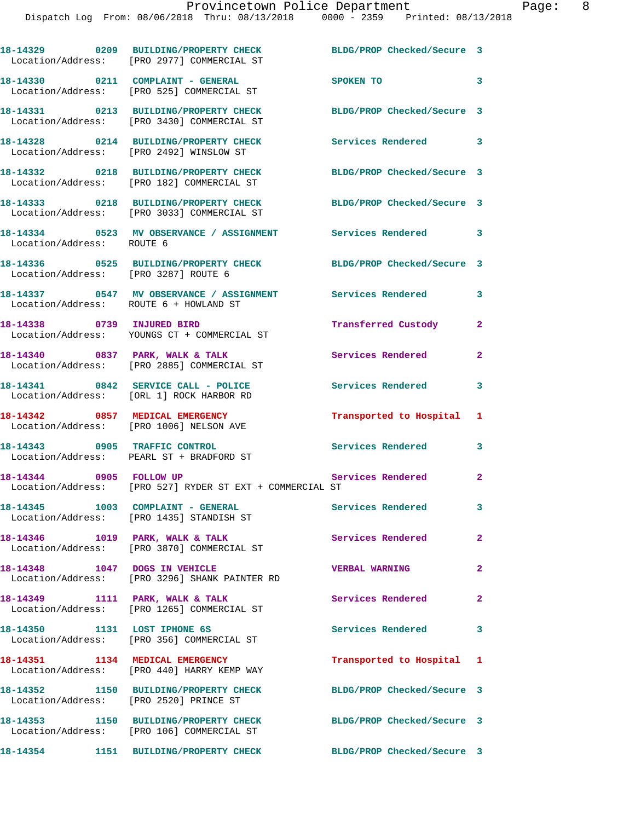|                                         | 18-14329 0209 BUILDING/PROPERTY CHECK<br>Location/Address: [PRO 2977] COMMERCIAL ST | BLDG/PROP Checked/Secure 3 |                |
|-----------------------------------------|-------------------------------------------------------------------------------------|----------------------------|----------------|
|                                         | 18-14330 0211 COMPLAINT - GENERAL<br>Location/Address: [PRO 525] COMMERCIAL ST      | SPOKEN TO                  | 3              |
|                                         | 18-14331 0213 BUILDING/PROPERTY CHECK<br>Location/Address: [PRO 3430] COMMERCIAL ST | BLDG/PROP Checked/Secure 3 |                |
| Location/Address: [PRO 2492] WINSLOW ST | 18-14328 0214 BUILDING/PROPERTY CHECK                                               | Services Rendered 3        |                |
|                                         | 18-14332 0218 BUILDING/PROPERTY CHECK<br>Location/Address: [PRO 182] COMMERCIAL ST  | BLDG/PROP Checked/Secure 3 |                |
|                                         | 18-14333 0218 BUILDING/PROPERTY CHECK<br>Location/Address: [PRO 3033] COMMERCIAL ST | BLDG/PROP Checked/Secure 3 |                |
| Location/Address: ROUTE 6               | 18-14334 0523 MV OBSERVANCE / ASSIGNMENT Services Rendered 3                        |                            |                |
| Location/Address: [PRO 3287] ROUTE 6    | 18-14336 0525 BUILDING/PROPERTY CHECK BLDG/PROP Checked/Secure 3                    |                            |                |
| Location/Address: ROUTE 6 + HOWLAND ST  | 18-14337 6547 MV OBSERVANCE / ASSIGNMENT Services Rendered                          |                            | 3              |
|                                         | 18-14338 0739 INJURED BIRD<br>Location/Address: YOUNGS CT + COMMERCIAL ST           | Transferred Custody        | $\mathbf{2}$   |
| 18-14340 0837 PARK, WALK & TALK         | Location/Address: [PRO 2885] COMMERCIAL ST                                          | Services Rendered          | $\mathbf{2}$   |
|                                         | 18-14341 0842 SERVICE CALL - POLICE<br>Location/Address: [ORL 1] ROCK HARBOR RD     | <b>Services Rendered</b>   | 3              |
| 18-14342 0857 MEDICAL EMERGENCY         | Location/Address: [PRO 1006] NELSON AVE                                             | Transported to Hospital 1  |                |
|                                         | 18-14343 0905 TRAFFIC CONTROL<br>Location/Address: PEARL ST + BRADFORD ST           | Services Rendered          | 3              |
|                                         | 18-14344 0905 FOLLOW UP<br>Location/Address: [PRO 527] RYDER ST EXT + COMMERCIAL ST | <b>Services Rendered</b>   | $\mathbf{2}$   |
|                                         | 18-14345 1003 COMPLAINT - GENERAL<br>Location/Address: [PRO 1435] STANDISH ST       | Services Rendered          | 3              |
|                                         | 18-14346 1019 PARK, WALK & TALK<br>Location/Address: [PRO 3870] COMMERCIAL ST       | Services Rendered          | $\overline{2}$ |
| 18-14348 1047 DOGS IN VEHICLE           | Location/Address: [PRO 3296] SHANK PAINTER RD                                       | <b>VERBAL WARNING</b>      | $\mathbf{2}$   |
| 18-14349 1111 PARK, WALK & TALK         | Location/Address: [PRO 1265] COMMERCIAL ST                                          | Services Rendered          | $\mathbf{2}$   |
| 18-14350 1131 LOST IPHONE 6S            | Location/Address: [PRO 356] COMMERCIAL ST                                           | <b>Services Rendered</b>   | 3              |
| 18-14351 1134 MEDICAL EMERGENCY         | Location/Address: [PRO 440] HARRY KEMP WAY                                          | Transported to Hospital 1  |                |
| Location/Address: [PRO 2520] PRINCE ST  | 18-14352 1150 BUILDING/PROPERTY CHECK                                               | BLDG/PROP Checked/Secure 3 |                |
|                                         | 18-14353 1150 BUILDING/PROPERTY CHECK<br>Location/Address: [PRO 106] COMMERCIAL ST  | BLDG/PROP Checked/Secure 3 |                |
| 18-14354                                | 1151 BUILDING/PROPERTY CHECK                                                        | BLDG/PROP Checked/Secure 3 |                |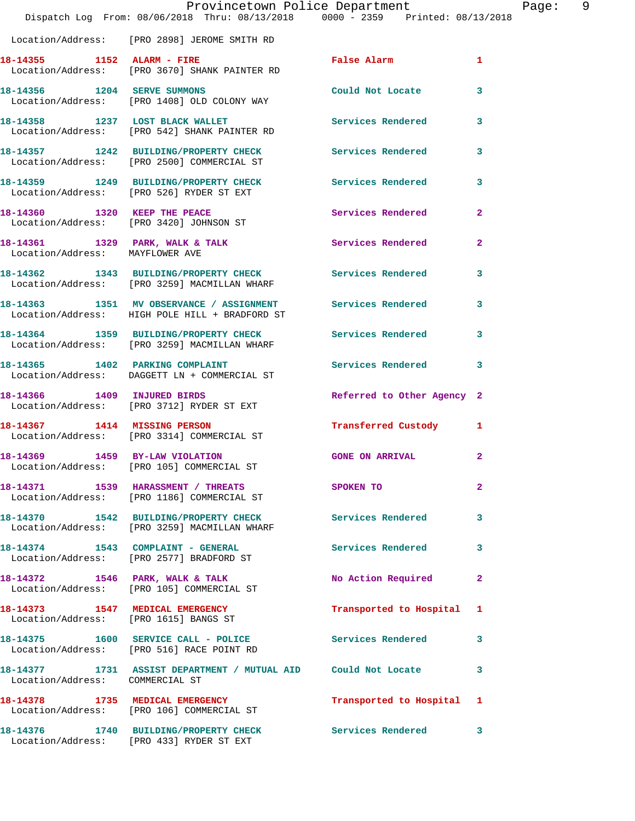|                                 | Dispatch Log From: 08/06/2018 Thru: 08/13/2018 0000 - 2359 Printed: 08/13/2018                               | Provincetown Police Department |              | Page: | - 9 |
|---------------------------------|--------------------------------------------------------------------------------------------------------------|--------------------------------|--------------|-------|-----|
|                                 | Location/Address: [PRO 2898] JEROME SMITH RD                                                                 |                                |              |       |     |
| 18-14355 1152 ALARM - FIRE      | Location/Address: [PRO 3670] SHANK PAINTER RD                                                                | False Alarm 1                  |              |       |     |
|                                 | 18-14356 1204 SERVE SUMMONS<br>Location/Address: [PRO 1408] OLD COLONY WAY                                   | Could Not Locate               | $\mathbf{3}$ |       |     |
|                                 | 18-14358 1237 LOST BLACK WALLET Services Rendered 3<br>Location/Address: [PRO 542] SHANK PAINTER RD          |                                |              |       |     |
|                                 | 18-14357 1242 BUILDING/PROPERTY CHECK Services Rendered<br>Location/Address: [PRO 2500] COMMERCIAL ST        |                                | 3            |       |     |
|                                 | 18-14359 1249 BUILDING/PROPERTY CHECK Services Rendered 3<br>Location/Address: [PRO 526] RYDER ST EXT        |                                |              |       |     |
|                                 | 18-14360 1320 KEEP THE PEACE<br>Location/Address: [PRO 3420] JOHNSON ST                                      | Services Rendered              | $\mathbf{2}$ |       |     |
| Location/Address: MAYFLOWER AVE | 18-14361 1329 PARK, WALK & TALK                                                                              | Services Rendered              | $\mathbf{2}$ |       |     |
|                                 | 18-14362 1343 BUILDING/PROPERTY CHECK Services Rendered<br>Location/Address: [PRO 3259] MACMILLAN WHARF      |                                | 3            |       |     |
|                                 | 18-14363 1351 MV OBSERVANCE / ASSIGNMENT Services Rendered<br>Location/Address: HIGH POLE HILL + BRADFORD ST |                                | $\mathbf{3}$ |       |     |
|                                 | 18-14364 1359 BUILDING/PROPERTY CHECK Services Rendered 3<br>Location/Address: [PRO 3259] MACMILLAN WHARF    |                                |              |       |     |
|                                 | 18-14365 1402 PARKING COMPLAINT<br>Location/Address: DAGGETT LN + COMMERCIAL ST                              | Services Rendered 3            |              |       |     |
|                                 | 18-14366 1409 INJURED BIRDS<br>Location/Address: [PRO 3712] RYDER ST EXT                                     | Referred to Other Agency 2     |              |       |     |
| 18-14367 1414 MISSING PERSON    | Location/Address: [PRO 3314] COMMERCIAL ST                                                                   | Transferred Custody 1          |              |       |     |
| 18-14369 1459 BY-LAW VIOLATION  | Location/Address: [PRO 105] COMMERCIAL ST                                                                    | GONE ON ARRIVAL 2              |              |       |     |
|                                 | 18-14371 1539 HARASSMENT / THREATS<br>Location/Address: [PRO 1186] COMMERCIAL ST                             | SPOKEN TO                      | $\mathbf{2}$ |       |     |
|                                 | 18-14370 1542 BUILDING/PROPERTY CHECK Services Rendered 3<br>Location/Address: [PRO 3259] MACMILLAN WHARF    |                                |              |       |     |
|                                 | 18-14374 1543 COMPLAINT - GENERAL<br>Location/Address: [PRO 2577] BRADFORD ST                                | <b>Services Rendered</b>       | 3            |       |     |
|                                 | 18-14372 1546 PARK, WALK & TALK<br>Location/Address: [PRO 105] COMMERCIAL ST                                 | No Action Required             | $\mathbf{2}$ |       |     |
|                                 | 18-14373 1547 MEDICAL EMERGENCY<br>Location/Address: [PRO 1615] BANGS ST                                     | Transported to Hospital 1      |              |       |     |
|                                 | 18-14375 1600 SERVICE CALL - POLICE<br>Location/Address: [PRO 516] RACE POINT RD                             | Services Rendered 3            |              |       |     |
| Location/Address: COMMERCIAL ST | 18-14377 1731 ASSIST DEPARTMENT / MUTUAL AID Could Not Locate 3                                              |                                |              |       |     |
|                                 | 18-14378 1735 MEDICAL EMERGENCY<br>Location/Address: [PRO 106] COMMERCIAL ST                                 | Transported to Hospital 1      |              |       |     |
|                                 | 18-14376 1740 BUILDING/PROPERTY CHECK Services Rendered 3<br>Location/Address: [PRO 433] RYDER ST EXT        |                                |              |       |     |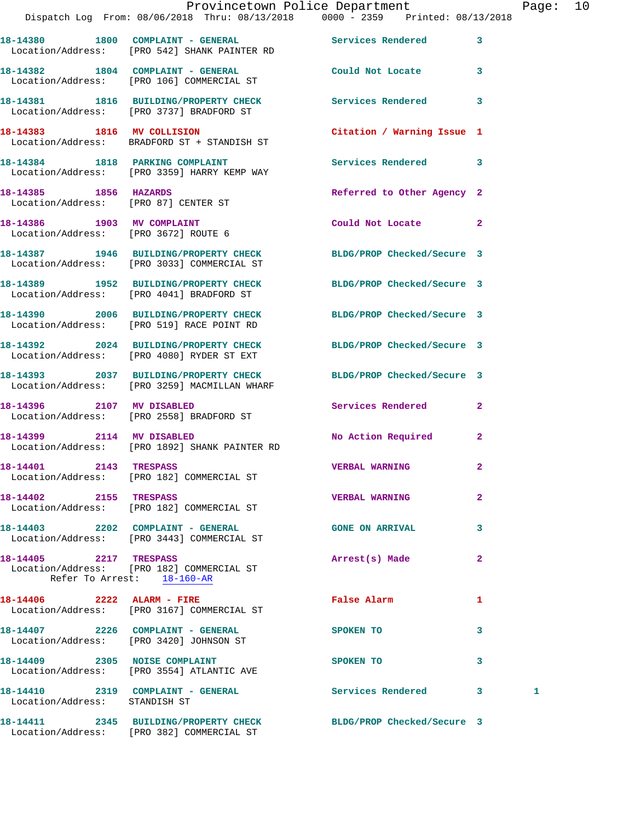|                                                                    |                                                                                                                | Provincetown Police Department |              | Page: 10 |  |
|--------------------------------------------------------------------|----------------------------------------------------------------------------------------------------------------|--------------------------------|--------------|----------|--|
|                                                                    | Dispatch Log From: 08/06/2018 Thru: 08/13/2018 0000 - 2359 Printed: 08/13/2018                                 |                                |              |          |  |
|                                                                    | 18-14380 1800 COMPLAINT - GENERAL Services Rendered 3<br>Location/Address: [PRO 542] SHANK PAINTER RD          |                                |              |          |  |
|                                                                    | 18-14382 1804 COMPLAINT - GENERAL<br>Location/Address: [PRO 106] COMMERCIAL ST                                 | Could Not Locate 3             |              |          |  |
|                                                                    | 18-14381 1816 BUILDING/PROPERTY CHECK Services Rendered 3<br>Location/Address: [PRO 3737] BRADFORD ST          |                                |              |          |  |
|                                                                    | 18-14383 1816 MV COLLISION<br>Location/Address: BRADFORD ST + STANDISH ST                                      | Citation / Warning Issue 1     |              |          |  |
|                                                                    | 18-14384 1818 PARKING COMPLAINT<br>Location/Address: [PRO 3359] HARRY KEMP WAY                                 | Services Rendered 3            |              |          |  |
| 18-14385 1856 HAZARDS                                              | Location/Address: [PRO 87] CENTER ST                                                                           | Referred to Other Agency 2     |              |          |  |
| 18-14386 1903 MV COMPLAINT<br>Location/Address: [PRO 3672] ROUTE 6 |                                                                                                                | Could Not Locate 2             |              |          |  |
|                                                                    | 18-14387 1946 BUILDING/PROPERTY CHECK BLDG/PROP Checked/Secure 3<br>Location/Address: [PRO 3033] COMMERCIAL ST |                                |              |          |  |
|                                                                    | 18-14389 1952 BUILDING/PROPERTY CHECK<br>Location/Address: [PRO 4041] BRADFORD ST                              | BLDG/PROP Checked/Secure 3     |              |          |  |
|                                                                    | 18-14390 2006 BUILDING/PROPERTY CHECK BLDG/PROP Checked/Secure 3<br>Location/Address: [PRO 519] RACE POINT RD  |                                |              |          |  |
|                                                                    | 18-14392 2024 BUILDING/PROPERTY CHECK BLDG/PROP Checked/Secure 3<br>Location/Address: [PRO 4080] RYDER ST EXT  |                                |              |          |  |
|                                                                    | 18-14393 2037 BUILDING/PROPERTY CHECK<br>Location/Address: [PRO 3259] MACMILLAN WHARF                          | BLDG/PROP Checked/Secure 3     |              |          |  |
| 18-14396 2107 MV DISABLED                                          | Location/Address: [PRO 2558] BRADFORD ST                                                                       | Services Rendered 2            |              |          |  |
|                                                                    | 18-14399 2114 MV DISABLED<br>Location/Address: [PRO 1892] SHANK PAINTER RD                                     | No Action Required             | $\mathbf{2}$ |          |  |
| 18-14401 2143 TRESPASS                                             | Location/Address: [PRO 182] COMMERCIAL ST                                                                      | <b>VERBAL WARNING</b>          |              |          |  |
| 18-14402 2155 TRESPASS                                             | Location/Address: [PRO 182] COMMERCIAL ST                                                                      | <b>VERBAL WARNING</b>          | $\mathbf{2}$ |          |  |
|                                                                    | 18-14403 2202 COMPLAINT - GENERAL<br>Location/Address: [PRO 3443] COMMERCIAL ST                                | <b>GONE ON ARRIVAL</b>         | 3            |          |  |
| 18-14405 2217 TRESPASS<br>Refer To Arrest: 18-160-AR               | Location/Address: [PRO 182] COMMERCIAL ST                                                                      | Arrest(s) Made                 | $\mathbf{2}$ |          |  |
|                                                                    | 18-14406 2222 ALARM - FIRE<br>Location/Address: [PRO 3167] COMMERCIAL ST                                       | False Alarm                    | 1            |          |  |
|                                                                    | 18-14407 2226 COMPLAINT - GENERAL<br>Location/Address: [PRO 3420] JOHNSON ST                                   | SPOKEN TO                      | 3            |          |  |
|                                                                    | 18-14409 2305 NOISE COMPLAINT<br>Location/Address: [PRO 3554] ATLANTIC AVE                                     | SPOKEN TO                      | 3            |          |  |
| Location/Address: STANDISH ST                                      | 18-14410 2319 COMPLAINT - GENERAL Services Rendered 3                                                          |                                |              | 1        |  |
|                                                                    |                                                                                                                |                                |              |          |  |

**18-14411 2345 BUILDING/PROPERTY CHECK BLDG/PROP Checked/Secure 3**  Location/Address: [PRO 382] COMMERCIAL ST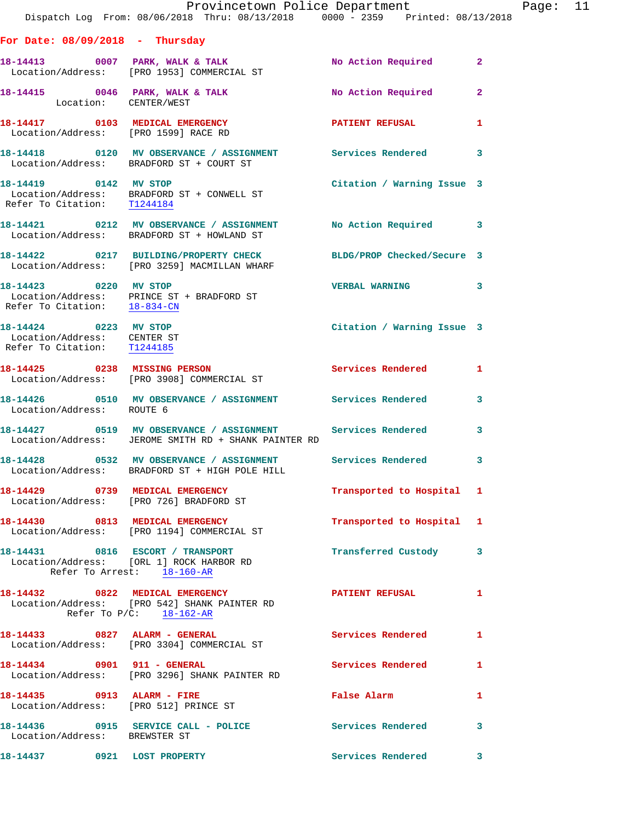|                                                                                     | Dispatch Log From: 08/06/2018 Thru: 08/13/2018 0000 - 2359 Printed: 08/13/2018                                                  | Provincetown Police Department |              | Page: 11 |  |
|-------------------------------------------------------------------------------------|---------------------------------------------------------------------------------------------------------------------------------|--------------------------------|--------------|----------|--|
| For Date: $08/09/2018$ - Thursday                                                   |                                                                                                                                 |                                |              |          |  |
|                                                                                     |                                                                                                                                 | No Action Required             | $\mathbf{2}$ |          |  |
| Location: CENTER/WEST                                                               | 18-14415 0046 PARK, WALK & TALK NO Action Required                                                                              |                                | $\mathbf{2}$ |          |  |
|                                                                                     | 18-14417 0103 MEDICAL EMERGENCY<br>Location/Address: [PRO 1599] RACE RD                                                         | PATIENT REFUSAL                | $\mathbf{1}$ |          |  |
|                                                                                     | 18-14418 0120 MV OBSERVANCE / ASSIGNMENT Services Rendered<br>Location/Address: BRADFORD ST + COURT ST                          |                                | 3            |          |  |
| 18-14419 0142 MV STOP<br>Refer To Citation: T1244184                                | Location/Address: BRADFORD ST + CONWELL ST                                                                                      | Citation / Warning Issue 3     |              |          |  |
|                                                                                     | 18-14421 0212 MV OBSERVANCE / ASSIGNMENT No Action Required 3<br>Location/Address: BRADFORD ST + HOWLAND ST                     |                                |              |          |  |
|                                                                                     | 18-14422 0217 BUILDING/PROPERTY CHECK<br>Location/Address: [PRO 3259] MACMILLAN WHARF                                           | BLDG/PROP Checked/Secure 3     |              |          |  |
| Refer To Citation: 18-834-CN                                                        | 18-14423 0220 MV STOP<br>Location/Address: PRINCE ST + BRADFORD ST                                                              | <b>VERBAL WARNING</b>          | 3            |          |  |
| 18-14424 0223 MV STOP<br>Location/Address: CENTER ST<br>Refer To Citation: T1244185 |                                                                                                                                 | Citation / Warning Issue 3     |              |          |  |
|                                                                                     | 18-14425 0238 MISSING PERSON<br>Location/Address: [PRO 3908] COMMERCIAL ST                                                      | Services Rendered 1            |              |          |  |
| Location/Address: ROUTE 6                                                           | 18-14426 0510 MV OBSERVANCE / ASSIGNMENT Services Rendered                                                                      |                                | 3            |          |  |
|                                                                                     | 18-14427 0519 MV OBSERVANCE / ASSIGNMENT Services Rendered<br>Location/Address: JEROME SMITH RD + SHANK PAINTER RD              |                                | 3            |          |  |
|                                                                                     | 18-14428      0532   MV OBSERVANCE / ASSIGNMENT      Services Rendered<br>Location/Address: BRADFORD ST + HIGH POLE HILL        |                                | 3            |          |  |
|                                                                                     | 18-14429 0739 MEDICAL EMERGENCY<br>Location/Address: [PRO 726] BRADFORD ST                                                      | Transported to Hospital 1      |              |          |  |
|                                                                                     | 18-14430 0813 MEDICAL EMERGENCY<br>Location/Address: [PRO 1194] COMMERCIAL ST                                                   | Transported to Hospital 1      |              |          |  |
|                                                                                     | 18-14431 0816 ESCORT / TRANSPORT<br>Location/Address: [ORL 1] ROCK HARBOR RD<br>Refer To Arrest: 18-160-AR                      | Transferred Custody 3          |              |          |  |
|                                                                                     | 18-14432  0822 MEDICAL EMERGENCY  PATIENT REFUSAL<br>Location/Address: [PRO 542] SHANK PAINTER RD<br>Refer To $P/C$ : 18-162-AR |                                | 1            |          |  |
|                                                                                     | 18-14433 0827 ALARM - GENERAL Services Rendered 1<br>Location/Address: [PRO 3304] COMMERCIAL ST                                 |                                |              |          |  |
|                                                                                     | 18-14434 0901 911 - GENERAL<br>Location/Address: [PRO 3296] SHANK PAINTER RD                                                    | Services Rendered 1            |              |          |  |
|                                                                                     | 18-14435 0913 ALARM - FIRE<br>Location/Address: [PRO 512] PRINCE ST                                                             | False Alarm                    | 1            |          |  |
| Location/Address: BREWSTER ST                                                       | 18-14436 0915 SERVICE CALL - POLICE Services Rendered 3                                                                         |                                |              |          |  |
| 18-14437 0921 LOST PROPERTY                                                         |                                                                                                                                 | Services Rendered 3            |              |          |  |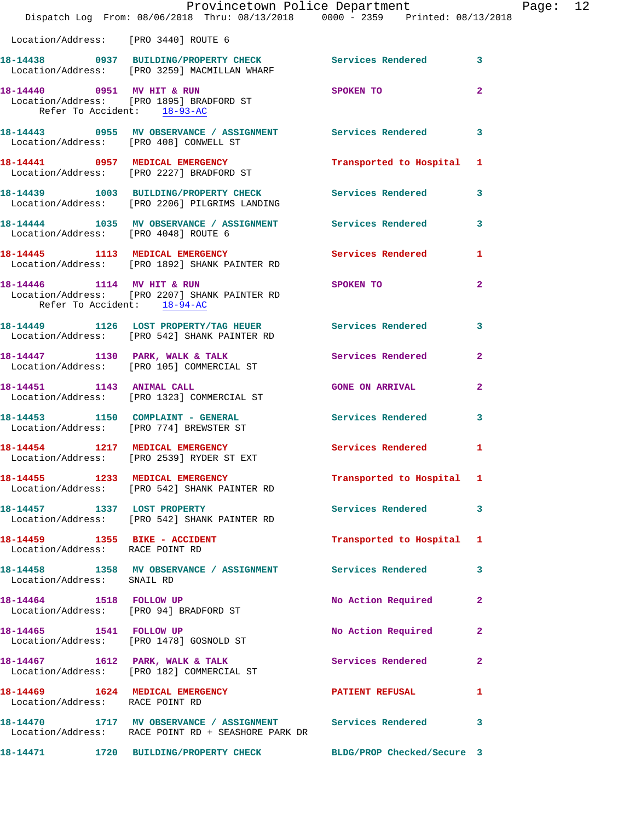|                                      | Provincetown Police Department<br>Dispatch Log From: 08/06/2018 Thru: 08/13/2018 0000 - 2359 Printed: 08/13/2018   |                           |                | Page: 12 |  |
|--------------------------------------|--------------------------------------------------------------------------------------------------------------------|---------------------------|----------------|----------|--|
| Location/Address: [PRO 3440] ROUTE 6 |                                                                                                                    |                           |                |          |  |
|                                      | 18-14438 0937 BUILDING/PROPERTY CHECK Services Rendered 3<br>Location/Address: [PRO 3259] MACMILLAN WHARF          |                           |                |          |  |
| Refer To Accident: 18-93-AC          | 18-14440 0951 MV HIT & RUN SPOKEN TO 2<br>Location/Address: [PRO 1895] BRADFORD ST                                 |                           |                |          |  |
|                                      | 18-14443 0955 MV OBSERVANCE / ASSIGNMENT Services Rendered 3<br>Location/Address: [PRO 408] CONWELL ST             |                           |                |          |  |
|                                      | 18-14441 0957 MEDICAL EMERGENCY<br>Location/Address: [PRO 2227] BRADFORD ST                                        | Transported to Hospital 1 |                |          |  |
|                                      | 18-14439 1003 BUILDING/PROPERTY CHECK Services Rendered 3<br>Location/Address: [PRO 2206] PILGRIMS LANDING         |                           |                |          |  |
| Location/Address: [PRO 4048] ROUTE 6 | 18-14444 1035 MV OBSERVANCE / ASSIGNMENT Services Rendered 3                                                       |                           |                |          |  |
|                                      | 18-14445 1113 MEDICAL EMERGENCY Services Rendered 1<br>Location/Address: [PRO 1892] SHANK PAINTER RD               |                           |                |          |  |
| Refer To Accident: 18-94-AC          | 18-14446 1114 MV HIT & RUN<br>Location/Address: [PRO 2207] SHANK PAINTER RD                                        | SPOKEN TO                 | $\overline{2}$ |          |  |
|                                      | 18-14449 1126 LOST PROPERTY/TAG HEUER Services Rendered 3<br>Location/Address: [PRO 542] SHANK PAINTER RD          |                           |                |          |  |
|                                      | 18-14447 1130 PARK, WALK & TALK Services Rendered 2<br>Location/Address: [PRO 105] COMMERCIAL ST                   |                           |                |          |  |
| 18-14451 1143 ANIMAL CALL            | Location/Address: [PRO 1323] COMMERCIAL ST                                                                         | <b>GONE ON ARRIVAL</b>    | $\overline{2}$ |          |  |
|                                      | 18-14453 1150 COMPLAINT - GENERAL<br>Location/Address: [PRO 774] BREWSTER ST                                       | Services Rendered 3       |                |          |  |
|                                      | 18-14454 1217 MEDICAL EMERGENCY Services Rendered 1<br>Location/Address: [PRO 2539] RYDER ST EXT                   |                           |                |          |  |
|                                      | 18-14455 1233 MEDICAL EMERGENCY<br>Location/Address: [PRO 542] SHANK PAINTER RD                                    | Transported to Hospital 1 |                |          |  |
|                                      | 18-14457 1337 LOST PROPERTY<br>Location/Address: [PRO 542] SHANK PAINTER RD                                        | Services Rendered 3       |                |          |  |
| Location/Address: RACE POINT RD      | 18-14459   1355 BIKE - ACCIDENT                                                                                    | Transported to Hospital 1 |                |          |  |
| Location/Address: SNAIL RD           | 18-14458 1358 MV OBSERVANCE / ASSIGNMENT Services Rendered 3                                                       |                           |                |          |  |
|                                      | 18-14464 1518 FOLLOW UP<br>Location/Address: [PRO 94] BRADFORD ST                                                  | No Action Required        | $\mathbf{2}$   |          |  |
| 18-14465 1541 FOLLOW UP              | Location/Address: [PRO 1478] GOSNOLD ST                                                                            | No Action Required 2      |                |          |  |
|                                      | 18-14467 1612 PARK, WALK & TALK<br>Location/Address: [PRO 182] COMMERCIAL ST                                       | Services Rendered         | $\mathbf{2}$   |          |  |
| Location/Address: RACE POINT RD      | 18-14469 1624 MEDICAL EMERGENCY                                                                                    | <b>PATIENT REFUSAL</b>    | 1              |          |  |
|                                      | 18-14470 1717 MV OBSERVANCE / ASSIGNMENT Services Rendered 3<br>Location/Address: RACE POINT RD + SEASHORE PARK DR |                           |                |          |  |
|                                      | 18-14471 1720 BUILDING/PROPERTY CHECK BLDG/PROP Checked/Secure 3                                                   |                           |                |          |  |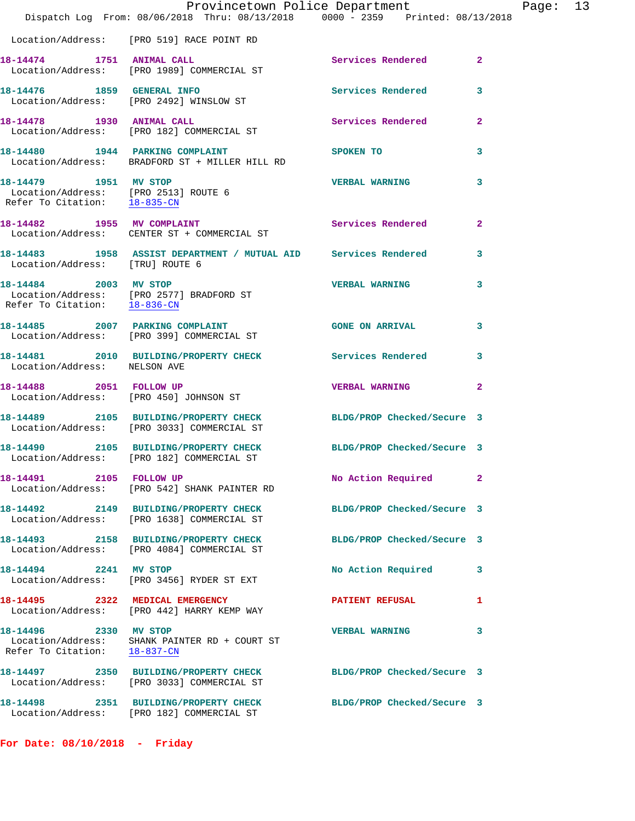|                                                                                                  | Provincetown Police Department<br>Dispatch Log From: 08/06/2018 Thru: 08/13/2018 0000 - 2359 Printed: 08/13/2018 |                            |                |
|--------------------------------------------------------------------------------------------------|------------------------------------------------------------------------------------------------------------------|----------------------------|----------------|
|                                                                                                  | Location/Address: [PRO 519] RACE POINT RD                                                                        |                            |                |
| 18-14474 1751 ANIMAL CALL                                                                        | Location/Address: [PRO 1989] COMMERCIAL ST                                                                       | Services Rendered          | $\overline{2}$ |
|                                                                                                  | 18-14476 1859 GENERAL INFO<br>Location/Address: [PRO 2492] WINSLOW ST                                            | Services Rendered          | 3              |
|                                                                                                  | 18-14478    1930    ANIMAL CALL<br>Location/Address: [PRO 182] COMMERCIAL ST                                     | <b>Services Rendered</b>   | $\overline{a}$ |
|                                                                                                  | 18-14480 1944 PARKING COMPLAINT<br>Location/Address: BRADFORD ST + MILLER HILL RD                                | SPOKEN TO                  | 3              |
| 18-14479    1951 MV STOP<br>Location/Address: [PRO 2513] ROUTE 6<br>Refer To Citation: 18-835-CN |                                                                                                                  | <b>VERBAL WARNING</b>      | 3              |
|                                                                                                  | 18-14482 1955 MV COMPLAINT<br>Location/Address: CENTER ST + COMMERCIAL ST                                        | Services Rendered          | $\overline{2}$ |
| Location/Address: [TRU] ROUTE 6                                                                  | 18-14483 1958 ASSIST DEPARTMENT / MUTUAL AID Services Rendered                                                   |                            | 3              |
|                                                                                                  | 18-14484 2003 MV STOP<br>Location/Address: [PRO 2577] BRADFORD ST<br>Refer To Citation: 18-836-CN                | <b>VERBAL WARNING</b>      | 3              |
|                                                                                                  | 18-14485 2007 PARKING COMPLAINT<br>Location/Address: [PRO 399] COMMERCIAL ST                                     | <b>GONE ON ARRIVAL</b>     | 3              |
| Location/Address: NELSON AVE                                                                     | 18-14481 2010 BUILDING/PROPERTY CHECK Services Rendered                                                          |                            | 3              |
| 18-14488 2051 FOLLOW UP                                                                          | Location/Address: [PRO 450] JOHNSON ST                                                                           | <b>VERBAL WARNING</b>      | $\overline{2}$ |
|                                                                                                  | 18-14489 2105 BUILDING/PROPERTY CHECK BLDG/PROP Checked/Secure 3<br>Location/Address: [PRO 3033] COMMERCIAL ST   |                            |                |
|                                                                                                  | 18-14490 2105 BUILDING/PROPERTY CHECK<br>Location/Address: [PRO 182] COMMERCIAL ST                               | BLDG/PROP Checked/Secure 3 |                |
| 18-14491 2105 FOLLOW UP                                                                          | Location/Address: [PRO 542] SHANK PAINTER RD                                                                     | No Action Required         | 2              |
|                                                                                                  | 18-14492 2149 BUILDING/PROPERTY CHECK<br>Location/Address: [PRO 1638] COMMERCIAL ST                              | BLDG/PROP Checked/Secure 3 |                |
|                                                                                                  | 18-14493 2158 BUILDING/PROPERTY CHECK<br>Location/Address: [PRO 4084] COMMERCIAL ST                              | BLDG/PROP Checked/Secure 3 |                |
| 18-14494 2241 MV STOP                                                                            | Location/Address: [PRO 3456] RYDER ST EXT                                                                        | No Action Required         | 3              |
|                                                                                                  | 18-14495 2322 MEDICAL EMERGENCY<br>Location/Address: [PRO 442] HARRY KEMP WAY                                    | <b>PATIENT REFUSAL</b>     | 1              |
| 18-14496 2330 MV STOP<br>Refer To Citation: 18-837-CN                                            | Location/Address: SHANK PAINTER RD + COURT ST                                                                    | <b>VERBAL WARNING</b>      | 3              |
|                                                                                                  | 18-14497 2350 BUILDING/PROPERTY CHECK<br>Location/Address: [PRO 3033] COMMERCIAL ST                              | BLDG/PROP Checked/Secure 3 |                |
|                                                                                                  | 18-14498 2351 BUILDING/PROPERTY CHECK<br>Location/Address: [PRO 182] COMMERCIAL ST                               | BLDG/PROP Checked/Secure 3 |                |

**For Date: 08/10/2018 - Friday**

Page: 13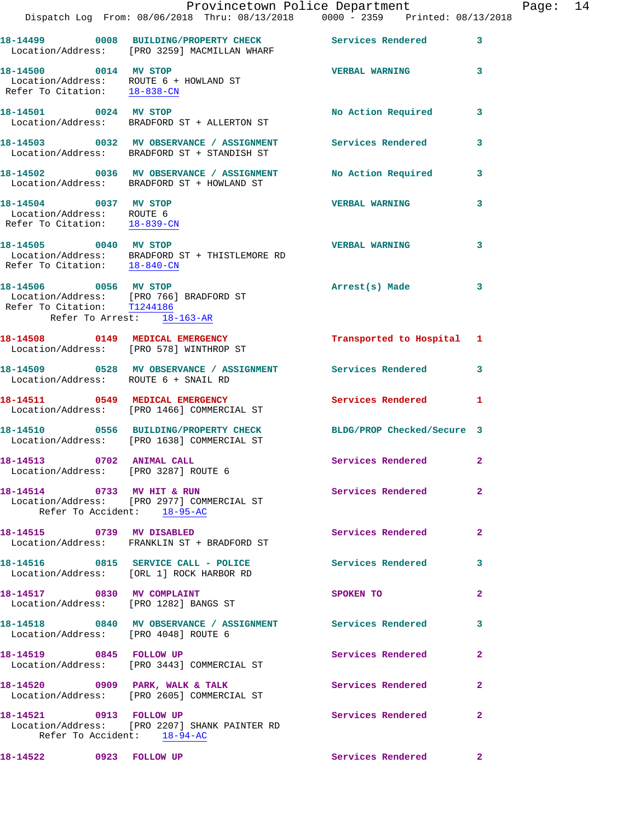|                                                                                    | Dispatch Log From: 08/06/2018 Thru: 08/13/2018 0000 - 2359 Printed: 08/13/2018                            | Provincetown Police Department |              | Page: 14 |  |
|------------------------------------------------------------------------------------|-----------------------------------------------------------------------------------------------------------|--------------------------------|--------------|----------|--|
|                                                                                    | 18-14499 0008 BUILDING/PROPERTY CHECK Services Rendered<br>Location/Address: [PRO 3259] MACMILLAN WHARF   |                                | 3            |          |  |
| 18-14500 0014 MV STOP                                                              | Location/Address: ROUTE 6 + HOWLAND ST<br>Refer To Citation: 18-838-CN                                    | <b>VERBAL WARNING 3</b>        |              |          |  |
| 18-14501 0024 MV STOP                                                              | Location/Address: BRADFORD ST + ALLERTON ST                                                               | No Action Required             | 3            |          |  |
|                                                                                    | 18-14503 0032 MV OBSERVANCE / ASSIGNMENT Services Rendered<br>Location/Address: BRADFORD ST + STANDISH ST |                                | 3            |          |  |
|                                                                                    | 18-14502 0036 MV OBSERVANCE / ASSIGNMENT<br>Location/Address: BRADFORD ST + HOWLAND ST                    | No Action Required 3           |              |          |  |
| 18-14504 0037 MV STOP<br>Location/Address: ROUTE 6<br>Refer To Citation: 18-839-CN |                                                                                                           | <b>VERBAL WARNING</b>          | 3            |          |  |
| 18-14505 0040 MV STOP                                                              | Location/Address: BRADFORD ST + THISTLEMORE RD<br>Refer To Citation: $\frac{18-840-CN}{18-840-CN}$        | <b>VERBAL WARNING</b>          | 3            |          |  |
| 18-14506 0056 MV STOP<br>Refer To Citation: T1244186<br>Refer To Arrest: 18-163-AR | Location/Address: [PRO 766] BRADFORD ST                                                                   | Arrest(s) Made                 | 3            |          |  |
|                                                                                    | 18-14508 0149 MEDICAL EMERGENCY<br>Location/Address: [PRO 578] WINTHROP ST                                | Transported to Hospital 1      |              |          |  |
| Location/Address: ROUTE 6 + SNAIL RD                                               | 18-14509 0528 MV OBSERVANCE / ASSIGNMENT Services Rendered                                                |                                | 3            |          |  |
|                                                                                    | 18-14511 0549 MEDICAL EMERGENCY<br>Location/Address: [PRO 1466] COMMERCIAL ST                             | Services Rendered 1            |              |          |  |
|                                                                                    | 18-14510 0556 BUILDING/PROPERTY CHECK<br>Location/Address: [PRO 1638] COMMERCIAL ST                       | BLDG/PROP Checked/Secure 3     |              |          |  |
| Location/Address: [PRO 3287] ROUTE 6                                               |                                                                                                           | Services Rendered              | $\mathbf{2}$ |          |  |
| Refer To Accident: 18-95-AC                                                        | 18-14514 0733 MV HIT & RUN<br>Location/Address: [PRO 2977] COMMERCIAL ST                                  | Services Rendered              | 2            |          |  |
|                                                                                    | 18-14515 0739 MV DISABLED<br>Location/Address: FRANKLIN ST + BRADFORD ST                                  | Services Rendered              | $\mathbf{2}$ |          |  |
|                                                                                    | 18-14516 0815 SERVICE CALL - POLICE<br>Location/Address: [ORL 1] ROCK HARBOR RD                           | Services Rendered              | 3            |          |  |
|                                                                                    | 18-14517 0830 MV COMPLAINT<br>Location/Address: [PRO 1282] BANGS ST                                       | SPOKEN TO                      | $\mathbf{2}$ |          |  |
| Location/Address: [PRO 4048] ROUTE 6                                               | 18-14518 0840 MV OBSERVANCE / ASSIGNMENT Services Rendered                                                |                                | 3            |          |  |
|                                                                                    | 18-14519 0845 FOLLOW UP<br>Location/Address: [PRO 3443] COMMERCIAL ST                                     | Services Rendered              | $\mathbf{2}$ |          |  |
|                                                                                    | 18-14520 0909 PARK, WALK & TALK<br>Location/Address: [PRO 2605] COMMERCIAL ST                             | Services Rendered              | $\mathbf{2}$ |          |  |
| Refer To Accident: 18-94-AC                                                        | 18-14521 0913 FOLLOW UP<br>Location/Address: [PRO 2207] SHANK PAINTER RD                                  | Services Rendered              | 2            |          |  |

18-14522 0923 FOLLOW UP Services Rendered 2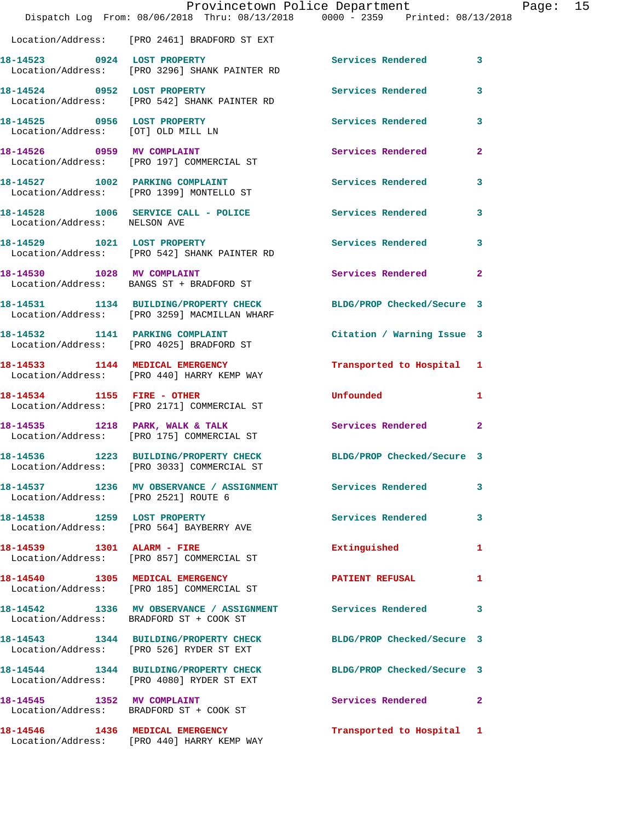|                                      | Dispatch Log From: 08/06/2018 Thru: 08/13/2018 0000 - 2359 Printed: 08/13/2018                                   | Provincetown Police Department |                | Page: 15 |  |
|--------------------------------------|------------------------------------------------------------------------------------------------------------------|--------------------------------|----------------|----------|--|
|                                      | Location/Address: [PRO 2461] BRADFORD ST EXT                                                                     |                                |                |          |  |
|                                      | 18-14523 0924 LOST PROPERTY<br>Location/Address: [PRO 3296] SHANK PAINTER RD                                     | Services Rendered 3            |                |          |  |
|                                      | 18-14524 0952 LOST PROPERTY<br>Location/Address: [PRO 542] SHANK PAINTER RD                                      | Services Rendered              | 3              |          |  |
| 18-14525 0956 LOST PROPERTY          | Location/Address: [OT] OLD MILL LN                                                                               | Services Rendered              | 3              |          |  |
|                                      | 18-14526 0959 MV COMPLAINT<br>Location/Address: [PRO 197] COMMERCIAL ST                                          | Services Rendered              | $\mathbf{2}$   |          |  |
|                                      | 18-14527 1002 PARKING COMPLAINT<br>Location/Address: [PRO 1399] MONTELLO ST                                      | Services Rendered              | 3              |          |  |
| Location/Address: NELSON AVE         | 18-14528 1006 SERVICE CALL - POLICE 3 Services Rendered                                                          |                                | 3              |          |  |
|                                      | 18-14529 1021 LOST PROPERTY<br>Location/Address: [PRO 542] SHANK PAINTER RD                                      | Services Rendered              | 3              |          |  |
|                                      | 18-14530 1028 MV COMPLAINT<br>Location/Address: BANGS ST + BRADFORD ST                                           | Services Rendered              | $\mathbf{2}$   |          |  |
|                                      | 18-14531 1134 BUILDING/PROPERTY CHECK BLDG/PROP Checked/Secure 3<br>Location/Address: [PRO 3259] MACMILLAN WHARF |                                |                |          |  |
|                                      | 18-14532 1141 PARKING COMPLAINT<br>Location/Address: [PRO 4025] BRADFORD ST                                      | Citation / Warning Issue 3     |                |          |  |
|                                      | 18-14533 1144 MEDICAL EMERGENCY<br>Location/Address: [PRO 440] HARRY KEMP WAY                                    | Transported to Hospital 1      |                |          |  |
|                                      | 18-14534 1155 FIRE - OTHER<br>Location/Address: [PRO 2171] COMMERCIAL ST                                         | <b>Unfounded</b>               | $\blacksquare$ |          |  |
|                                      | 18-14535 1218 PARK, WALK & TALK<br>Location/Address: [PRO 175] COMMERCIAL ST                                     | Services Rendered              | 2              |          |  |
|                                      | 18-14536 1223 BUILDING/PROPERTY CHECK<br>Location/Address: [PRO 3033] COMMERCIAL ST                              | BLDG/PROP Checked/Secure 3     |                |          |  |
| Location/Address: [PRO 2521] ROUTE 6 | 18-14537 1236 MV OBSERVANCE / ASSIGNMENT Services Rendered                                                       |                                | 3              |          |  |
|                                      | 18-14538 1259 LOST PROPERTY<br>Location/Address: [PRO 564] BAYBERRY AVE                                          | <b>Services Rendered</b>       | $\mathbf{3}$   |          |  |
|                                      | 18-14539 1301 ALARM - FIRE<br>Location/Address: [PRO 857] COMMERCIAL ST                                          | Extinguished                   | 1              |          |  |
|                                      | 18-14540 1305 MEDICAL EMERGENCY<br>Location/Address: [PRO 185] COMMERCIAL ST                                     | <b>PATIENT REFUSAL</b>         | $\mathbf{1}$   |          |  |
|                                      | 18-14542 1336 MV OBSERVANCE / ASSIGNMENT Services Rendered<br>Location/Address: BRADFORD ST + COOK ST            |                                | 3              |          |  |
|                                      | 18-14543 1344 BUILDING/PROPERTY CHECK BLDG/PROP Checked/Secure 3<br>Location/Address: [PRO 526] RYDER ST EXT     |                                |                |          |  |
|                                      | 18-14544 1344 BUILDING/PROPERTY CHECK BLDG/PROP Checked/Secure 3<br>Location/Address: [PRO 4080] RYDER ST EXT    |                                |                |          |  |
|                                      | 18-14545 1352 MV COMPLAINT<br>Location/Address: BRADFORD ST + COOK ST                                            | Services Rendered 2            |                |          |  |
|                                      | 18-14546 1436 MEDICAL EMERGENCY<br>Location/Address: [PRO 440] HARRY KEMP WAY                                    | Transported to Hospital 1      |                |          |  |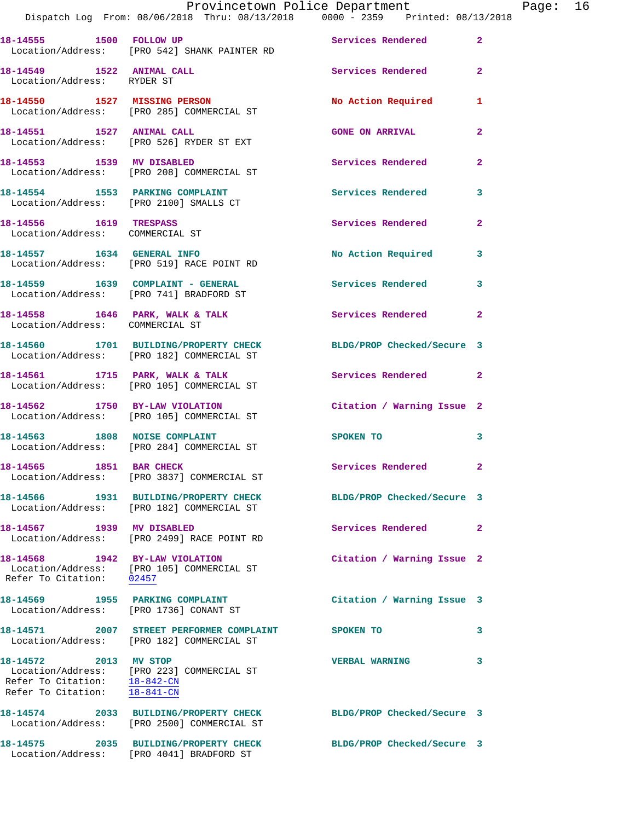|                                                                                       | Dispatch Log From: 08/06/2018 Thru: 08/13/2018   0000 - 2359   Printed: 08/13/2018                             | Provincetown Police Department The Page: 16 |                |
|---------------------------------------------------------------------------------------|----------------------------------------------------------------------------------------------------------------|---------------------------------------------|----------------|
|                                                                                       | 18-14555 1500 FOLLOW UP 300 Services Rendered<br>Location/Address: [PRO 542] SHANK PAINTER RD                  |                                             | $\mathbf{2}$   |
| Location/Address: RYDER ST                                                            | 18-14549 1522 ANIMAL CALL Services Rendered                                                                    |                                             | $\mathbf{2}$   |
|                                                                                       | 18-14550 1527 MISSING PERSON<br>Location/Address: [PRO 285] COMMERCIAL ST                                      | No Action Required 1                        |                |
|                                                                                       | 18-14551 1527 ANIMAL CALL<br>Location/Address: [PRO 526] RYDER ST EXT                                          | <b>GONE ON ARRIVAL</b>                      | $\mathbf{2}$   |
|                                                                                       | 18-14553 1539 MV DISABLED<br>Location/Address: [PRO 208] COMMERCIAL ST                                         | Services Rendered                           | $\mathbf{2}$   |
|                                                                                       | 18-14554 1553 PARKING COMPLAINT<br>Location/Address: [PRO 2100] SMALLS CT                                      | Services Rendered                           | 3              |
| 18-14556 1619 TRESPASS                                                                | Location/Address: COMMERCIAL ST                                                                                | Services Rendered                           | $\overline{2}$ |
|                                                                                       | 18-14557 1634 GENERAL INFO<br>Location/Address: [PRO 519] RACE POINT RD                                        | No Action Required                          | 3              |
|                                                                                       | 18-14559    1639    COMPLAINT - GENERAL<br>Location/Address: [PRO 741] BRADFORD ST                             | Services Rendered 3                         |                |
| Location/Address: COMMERCIAL ST                                                       | 18-14558 1646 PARK, WALK & TALK 1988 Services Rendered                                                         |                                             | $\mathbf{2}$   |
|                                                                                       | 18-14560 1701 BUILDING/PROPERTY CHECK BLDG/PROP Checked/Secure 3<br>Location/Address: [PRO 182] COMMERCIAL ST  |                                             |                |
|                                                                                       | 18-14561 1715 PARK, WALK & TALK 1998 Services Rendered<br>Location/Address: [PRO 105] COMMERCIAL ST            |                                             | $\mathbf{2}$   |
|                                                                                       | 18-14562 1750 BY-LAW VIOLATION<br>Location/Address: [PRO 105] COMMERCIAL ST                                    | Citation / Warning Issue 2                  |                |
|                                                                                       | 18-14563 1808 NOISE COMPLAINT<br>Location/Address: [PRO 284] COMMERCIAL ST                                     | SPOKEN TO                                   | 3              |
|                                                                                       | 18-14565 1851 BAR CHECK<br>Location/Address: [PRO 3837] COMMERCIAL ST                                          | Services Rendered 2                         |                |
|                                                                                       | 18-14566 1931 BUILDING/PROPERTY CHECK BLDG/PROP Checked/Secure 3<br>Location/Address: [PRO 182] COMMERCIAL ST  |                                             |                |
| 18-14567 1939 MV DISABLED                                                             | Location/Address: [PRO 2499] RACE POINT RD                                                                     | Services Rendered                           | $\mathbf{2}$   |
| Refer To Citation: 02457                                                              | 18-14568 1942 BY-LAW VIOLATION<br>Location/Address: [PRO 105] COMMERCIAL ST                                    | Citation / Warning Issue 2                  |                |
|                                                                                       | 18-14569 1955 PARKING COMPLAINT<br>Location/Address: [PRO 1736] CONANT ST                                      | Citation / Warning Issue 3                  |                |
|                                                                                       | 18-14571 2007 STREET PERFORMER COMPLAINT<br>Location/Address: [PRO 182] COMMERCIAL ST                          | SPOKEN TO                                   | 3              |
| 18-14572 2013 MV STOP<br>Refer To Citation: 18-842-CN<br>Refer To Citation: 18-841-CN | Location/Address: [PRO 223] COMMERCIAL ST                                                                      | <b>VERBAL WARNING</b>                       | 3              |
|                                                                                       | 18-14574 2033 BUILDING/PROPERTY CHECK BLDG/PROP Checked/Secure 3<br>Location/Address: [PRO 2500] COMMERCIAL ST |                                             |                |
|                                                                                       |                                                                                                                | BLDG/PROP Checked/Secure 3                  |                |

Location/Address: [PRO 4041] BRADFORD ST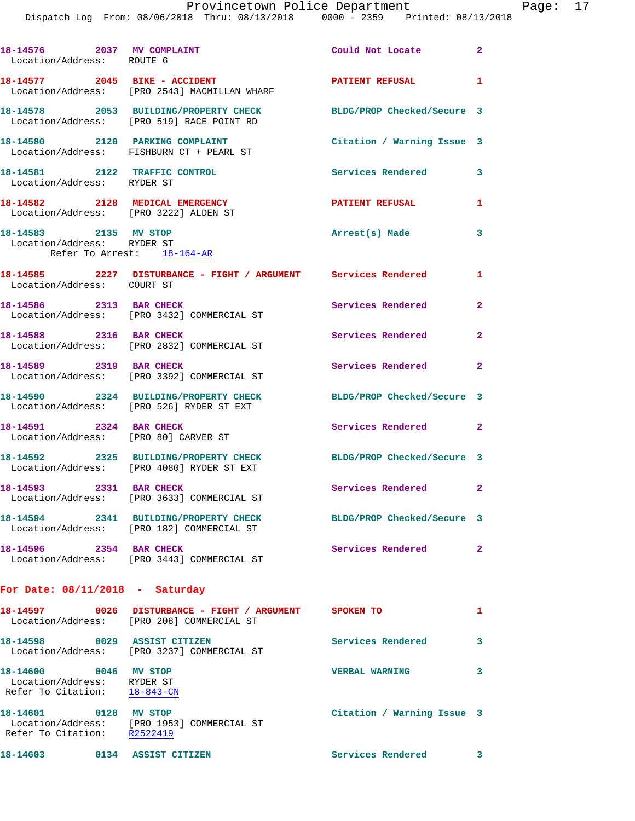Dispatch Log From: 08/06/2018 Thru: 08/13/2018 0000 - 2359 Printed: 08/13/2018

| 18-14576 2037 MV COMPLAINT<br>Location/Address: ROUTE 6                             |                                                                                                               | Could Not Locate           | $\overline{2}$          |
|-------------------------------------------------------------------------------------|---------------------------------------------------------------------------------------------------------------|----------------------------|-------------------------|
|                                                                                     | 18-14577 2045 BIKE - ACCIDENT<br>Location/Address: [PRO 2543] MACMILLAN WHARF                                 | PATIENT REFUSAL 1          |                         |
|                                                                                     | 18-14578 2053 BUILDING/PROPERTY CHECK<br>Location/Address: [PRO 519] RACE POINT RD                            | BLDG/PROP Checked/Secure 3 |                         |
| 18-14580 2120 PARKING COMPLAINT                                                     | Location/Address: FISHBURN CT + PEARL ST                                                                      | Citation / Warning Issue 3 |                         |
| 18-14581 2122 TRAFFIC CONTROL<br>Location/Address: RYDER ST                         |                                                                                                               | Services Rendered          | 3                       |
| 18-14582 2128 MEDICAL EMERGENCY<br>Location/Address: [PRO 3222] ALDEN ST            |                                                                                                               | <b>PATIENT REFUSAL</b>     | 1                       |
| 18-14583 2135 MV STOP<br>Location/Address: RYDER ST                                 | Refer To Arrest: 18-164-AR                                                                                    | Arrest(s) Made             | 3                       |
| Location/Address: COURT ST                                                          | 18-14585 2227 DISTURBANCE - FIGHT / ARGUMENT Services Rendered                                                |                            | $\mathbf{1}$            |
| 18-14586 2313 BAR CHECK                                                             | Location/Address: [PRO 3432] COMMERCIAL ST                                                                    | Services Rendered          | $\overline{2}$          |
| 18-14588 2316 BAR CHECK                                                             | Location/Address: [PRO 2832] COMMERCIAL ST                                                                    | Services Rendered          | $\mathbf{2}$            |
| 18-14589 2319 BAR CHECK                                                             | Location/Address: [PRO 3392] COMMERCIAL ST                                                                    | Services Rendered          | $\overline{2}$          |
|                                                                                     | 18-14590 2324 BUILDING/PROPERTY CHECK<br>Location/Address: [PRO 526] RYDER ST EXT                             | BLDG/PROP Checked/Secure 3 |                         |
| 18-14591 2324 BAR CHECK                                                             | Location/Address: [PRO 80] CARVER ST                                                                          | Services Rendered          | $\overline{2}$          |
|                                                                                     | 18-14592 2325 BUILDING/PROPERTY CHECK<br>Location/Address: [PRO 4080] RYDER ST EXT                            | BLDG/PROP Checked/Secure 3 |                         |
| 18-14593 2331 BAR CHECK                                                             | Location/Address: [PRO 3633] COMMERCIAL ST                                                                    | Services Rendered          | $\mathbf{2}$            |
|                                                                                     | 18-14594 2341 BUILDING/PROPERTY CHECK BLDG/PROP Checked/Secure 3<br>Location/Address: [PRO 182] COMMERCIAL ST |                            |                         |
| 18-14596 2354 BAR CHECK                                                             | Location/Address: [PRO 3443] COMMERCIAL ST                                                                    | <b>Services Rendered</b>   | $\overline{2}$          |
| For Date: $08/11/2018$ - Saturday                                                   |                                                                                                               |                            |                         |
|                                                                                     | 18-14597 0026 DISTURBANCE - FIGHT / ARGUMENT SPOKEN TO<br>Location/Address: [PRO 208] COMMERCIAL ST           |                            | $\mathbf{1}$            |
|                                                                                     | 18-14598 0029 ASSIST CITIZEN<br>Location/Address: [PRO 3237] COMMERCIAL ST                                    | <b>Services Rendered</b>   | 3                       |
| 18-14600 0046 MV STOP<br>Location/Address: RYDER ST<br>Refer To Citation: 18-843-CN |                                                                                                               | <b>VERBAL WARNING</b>      | 3                       |
| 18-14601 0128 MV STOP<br>Refer To Citation: R2522419                                | Location/Address: [PRO 1953] COMMERCIAL ST                                                                    | Citation / Warning Issue 3 |                         |
| 18-14603 0134 ASSIST CITIZEN                                                        |                                                                                                               | <b>Services Rendered</b>   | $\overline{\mathbf{3}}$ |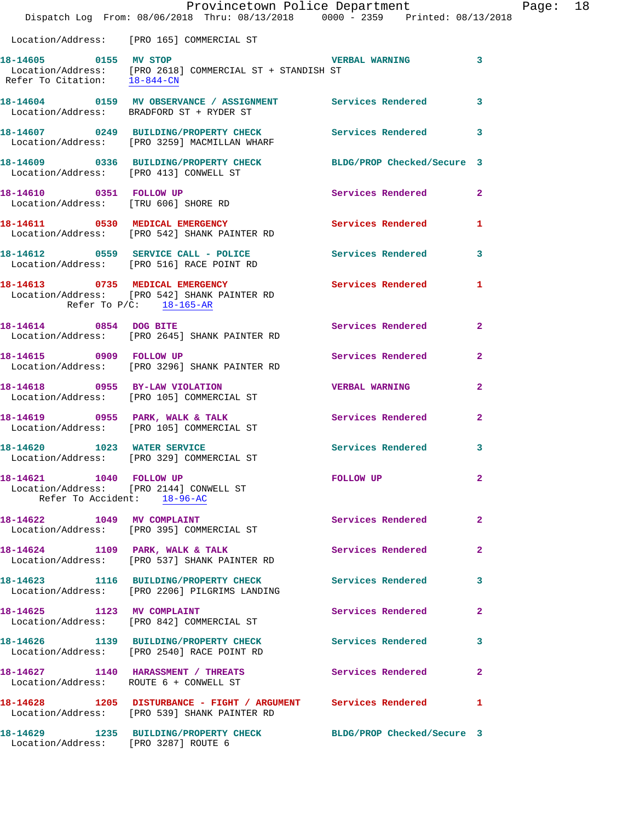|                                                        | Provincetown Police Department Fage: 18<br>Dispatch Log From: 08/06/2018 Thru: 08/13/2018 0000 - 2359 Printed: 08/13/2018             |                         |              |  |
|--------------------------------------------------------|---------------------------------------------------------------------------------------------------------------------------------------|-------------------------|--------------|--|
|                                                        | Location/Address: [PRO 165] COMMERCIAL ST                                                                                             |                         |              |  |
|                                                        | 18-14605 0155 MV STOP<br>Location/Address: [PRO 2618] COMMERCIAL ST + STANDISH ST<br>Refer To Citation: $\frac{18-844-CM}{10-844-CM}$ | <b>VERBAL WARNING</b> 3 |              |  |
|                                                        | 18-14604 0159 MV OBSERVANCE / ASSIGNMENT Services Rendered 3<br>Location/Address: BRADFORD ST + RYDER ST                              |                         |              |  |
|                                                        | 18-14607 0249 BUILDING/PROPERTY CHECK Services Rendered 3<br>Location/Address: [PRO 3259] MACMILLAN WHARF                             |                         |              |  |
| Location/Address: [PRO 413] CONWELL ST                 | 18-14609 0336 BUILDING/PROPERTY CHECK BLDG/PROP Checked/Secure 3                                                                      |                         |              |  |
| 18-14610 0351 FOLLOW UP                                | Location/Address: [TRU 606] SHORE RD                                                                                                  | Services Rendered 2     |              |  |
|                                                        | 18-14611 0530 MEDICAL EMERGENCY Services Rendered 1<br>Location/Address: [PRO 542] SHANK PAINTER RD                                   |                         |              |  |
|                                                        | 18-14612 0559 SERVICE CALL - POLICE Services Rendered 3<br>Location/Address: [PRO 516] RACE POINT RD                                  |                         |              |  |
| Refer To $P/C$ : 18-165-AR                             | 18-14613 0735 MEDICAL EMERGENCY<br>Location/Address: [PRO 542] SHANK PAINTER RD                                                       | Services Rendered 1     |              |  |
|                                                        | 18-14614 0854 DOG BITE<br>Location/Address: [PRO 2645] SHANK PAINTER RD                                                               | Services Rendered 2     |              |  |
|                                                        | 18-14615 0909 FOLLOW UP<br>Location/Address: [PRO 3296] SHANK PAINTER RD                                                              | Services Rendered 2     |              |  |
|                                                        | 18-14618 0955 BY-LAW VIOLATION<br>Location/Address: [PRO 105] COMMERCIAL ST                                                           | <b>VERBAL WARNING</b>   | $\mathbf{2}$ |  |
|                                                        | 18-14619 0955 PARK, WALK & TALK 6 Services Rendered 2<br>Location/Address: [PRO 105] COMMERCIAL ST                                    |                         |              |  |
|                                                        | 18-14620 1023 WATER SERVICE<br>Location/Address: [PRO 329] COMMERCIAL ST                                                              | Services Rendered 3     |              |  |
| 18-14621 1040 FOLLOW UP<br>Refer To Accident: 18-96-AC | Location/Address: [PRO 2144] CONWELL ST                                                                                               | FOLLOW UP               | $\mathbf{2}$ |  |
|                                                        | 18-14622 1049 MV COMPLAINT<br>Location/Address: [PRO 395] COMMERCIAL ST                                                               | Services Rendered 2     |              |  |
|                                                        | 18-14624 1109 PARK, WALK & TALK<br>Location/Address: [PRO 537] SHANK PAINTER RD                                                       | Services Rendered       | $\mathbf{2}$ |  |
|                                                        | 18-14623 1116 BUILDING/PROPERTY CHECK Services Rendered 3<br>Location/Address: [PRO 2206] PILGRIMS LANDING                            |                         |              |  |
|                                                        | 18-14625 1123 MV COMPLAINT<br>Location/Address: [PRO 842] COMMERCIAL ST                                                               | Services Rendered 2     |              |  |
|                                                        | 18-14626 1139 BUILDING/PROPERTY CHECK<br>Location/Address: [PRO 2540] RACE POINT RD                                                   | Services Rendered 3     |              |  |
|                                                        | 18-14627 1140 HARASSMENT / THREATS Services Rendered 2<br>Location/Address: ROUTE 6 + CONWELL ST                                      |                         |              |  |
|                                                        | 18-14628 1205 DISTURBANCE - FIGHT / ARGUMENT Services Rendered<br>Location/Address: [PRO 539] SHANK PAINTER RD                        |                         | $\mathbf{1}$ |  |
| Location/Address: [PRO 3287] ROUTE 6                   | 18-14629 1235 BUILDING/PROPERTY CHECK BLDG/PROP Checked/Secure 3                                                                      |                         |              |  |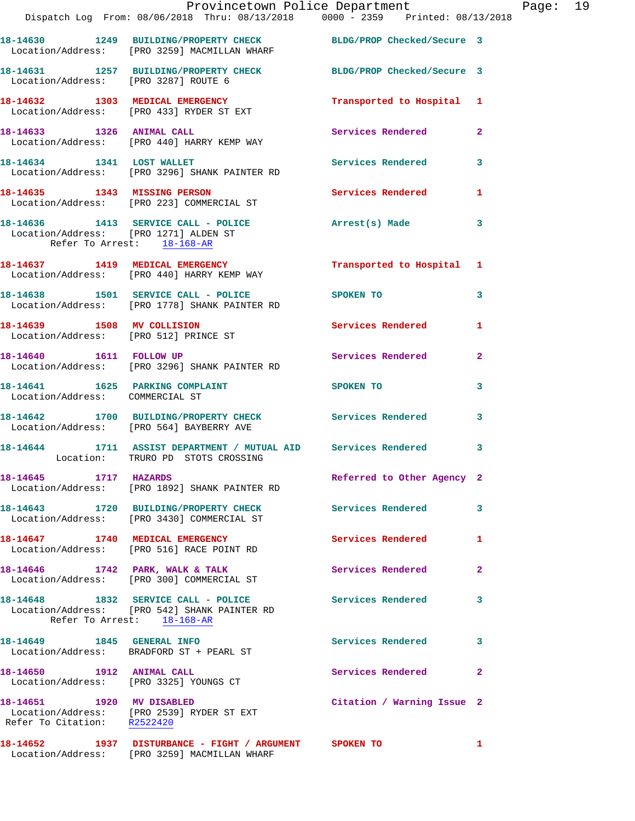|                                      | Dispatch Log From: 08/06/2018 Thru: 08/13/2018   0000 - 2359   Printed: 08/13/2018                                                  | Provincetown Police Department Page: 19 |                |  |
|--------------------------------------|-------------------------------------------------------------------------------------------------------------------------------------|-----------------------------------------|----------------|--|
|                                      | 18-14630 1249 BUILDING/PROPERTY CHECK BLDG/PROP Checked/Secure 3<br>Location/Address: [PRO 3259] MACMILLAN WHARF                    |                                         |                |  |
| Location/Address: [PRO 3287] ROUTE 6 | 18-14631 1257 BUILDING/PROPERTY CHECK BLDG/PROP Checked/Secure 3                                                                    |                                         |                |  |
|                                      | 18-14632 1303 MEDICAL EMERGENCY Transported to Hospital 1<br>Location/Address: [PRO 433] RYDER ST EXT                               |                                         |                |  |
|                                      | 18-14633 1326 ANIMAL CALL<br>Location/Address: [PRO 440] HARRY KEMP WAY                                                             | Services Rendered 2                     |                |  |
|                                      | 18-14634 1341 LOST WALLET<br>Location/Address: [PRO 3296] SHANK PAINTER RD                                                          | Services Rendered 3                     |                |  |
|                                      | 18-14635 1343 MISSING PERSON Services Rendered<br>Location/Address: [PRO 223] COMMERCIAL ST                                         |                                         | $\mathbf{1}$   |  |
| Refer To Arrest: 18-168-AR           | 18-14636 1413 SERVICE CALL - POLICE Arrest(s) Made<br>Location/Address: [PRO 1271] ALDEN ST                                         |                                         | $\mathbf{3}$   |  |
|                                      | 18-14637 1419 MEDICAL EMERGENCY 1 Transported to Hospital 1<br>Location/Address: [PRO 440] HARRY KEMP WAY                           |                                         |                |  |
|                                      | 18-14638 1501 SERVICE CALL - POLICE SPOKEN TO<br>Location/Address: [PRO 1778] SHANK PAINTER RD                                      |                                         | $\mathbf{3}$   |  |
|                                      | 18-14639 1508 MV COLLISION<br>Location/Address: [PRO 512] PRINCE ST                                                                 | Services Rendered                       | $\mathbf{1}$   |  |
| 18-14640 1611 FOLLOW UP              | Location/Address: [PRO 3296] SHANK PAINTER RD                                                                                       | Services Rendered                       | $\mathbf{2}$   |  |
| Location/Address: COMMERCIAL ST      | 18-14641 1625 PARKING COMPLAINT SPOKEN TO                                                                                           |                                         | 3              |  |
|                                      | 18-14642 1700 BUILDING/PROPERTY CHECK Services Rendered<br>Location/Address: [PRO 564] BAYBERRY AVE                                 |                                         | 3              |  |
|                                      | 18-14644 1711 ASSIST DEPARTMENT / MUTUAL AID Services Rendered<br>Location: TRURO PD STOTS CROSSING                                 |                                         | 3              |  |
| 18-14645 1717 HAZARDS                | Location/Address: [PRO 1892] SHANK PAINTER RD                                                                                       | Referred to Other Agency 2              |                |  |
|                                      | 18-14643 1720 BUILDING/PROPERTY CHECK Services Rendered<br>Location/Address: [PRO 3430] COMMERCIAL ST                               |                                         | $\mathbf{3}$   |  |
|                                      | 18-14647 1740 MEDICAL EMERGENCY<br>Location/Address: [PRO 516] RACE POINT RD                                                        | Services Rendered 1                     |                |  |
|                                      | 18-14646 1742 PARK, WALK & TALK<br>Location/Address: [PRO 300] COMMERCIAL ST                                                        | Services Rendered                       | $\mathbf{2}$   |  |
|                                      | 18-14648 1832 SERVICE CALL - POLICE Services Rendered<br>Location/Address: [PRO 542] SHANK PAINTER RD<br>Refer To Arrest: 18-168-AR |                                         | 3              |  |
|                                      | 18-14649    1845    GENERAL INFO<br>Location/Address: BRADFORD ST + PEARL ST                                                        | <b>Services Rendered</b>                | 3              |  |
| 18-14650 1912 ANIMAL CALL            | Location/Address: [PRO 3325] YOUNGS CT                                                                                              | Services Rendered                       | $\overline{2}$ |  |
| Refer To Citation: R2522420          | 18-14651 1920 MV DISABLED<br>Location/Address: [PRO 2539] RYDER ST EXT                                                              | Citation / Warning Issue 2              |                |  |
|                                      | 18-14652 1937 DISTURBANCE - FIGHT / ARGUMENT SPOKEN TO 1                                                                            |                                         |                |  |

Location/Address: [PRO 3259] MACMILLAN WHARF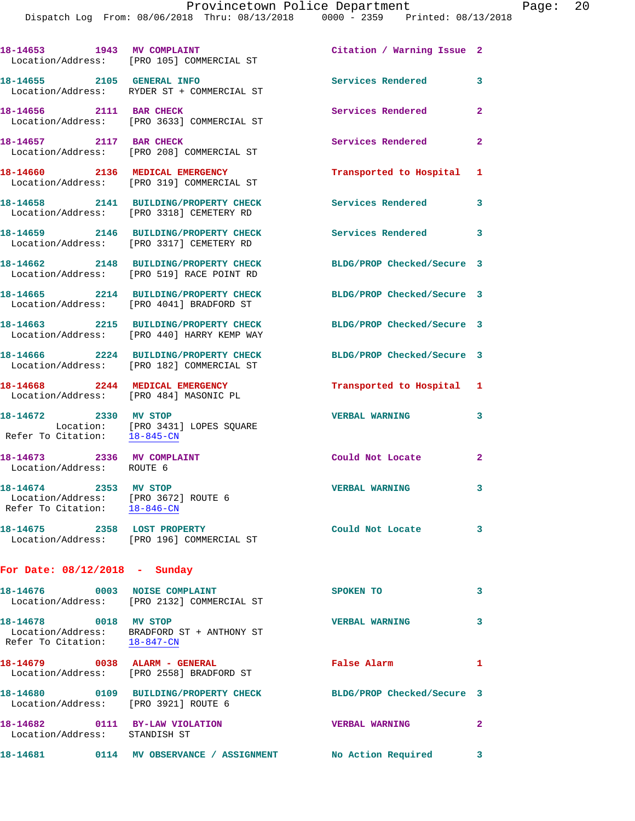|                                                                                               | 18-14653 1943 MV COMPLAINT<br>Location/Address: [PRO 105] COMMERCIAL ST             | Citation / Warning Issue 2 |                |
|-----------------------------------------------------------------------------------------------|-------------------------------------------------------------------------------------|----------------------------|----------------|
| 18-14655 2105 GENERAL INFO                                                                    | Location/Address: RYDER ST + COMMERCIAL ST                                          | Services Rendered          | 3              |
| 18-14656 2111 BAR CHECK                                                                       | Location/Address: [PRO 3633] COMMERCIAL ST                                          | Services Rendered          | $\mathbf{2}$   |
| 18-14657 2117 BAR CHECK                                                                       | Location/Address: [PRO 208] COMMERCIAL ST                                           | Services Rendered          | $\mathbf{2}$   |
|                                                                                               | 18-14660 2136 MEDICAL EMERGENCY<br>Location/Address: [PRO 319] COMMERCIAL ST        | Transported to Hospital 1  |                |
|                                                                                               | 18-14658 2141 BUILDING/PROPERTY CHECK<br>Location/Address: [PRO 3318] CEMETERY RD   | <b>Services Rendered</b>   | 3              |
|                                                                                               | 18-14659 2146 BUILDING/PROPERTY CHECK<br>Location/Address: [PRO 3317] CEMETERY RD   | Services Rendered          | 3              |
|                                                                                               | 18-14662 2148 BUILDING/PROPERTY CHECK<br>Location/Address: [PRO 519] RACE POINT RD  | BLDG/PROP Checked/Secure 3 |                |
|                                                                                               | 18-14665 2214 BUILDING/PROPERTY CHECK<br>Location/Address: [PRO 4041] BRADFORD ST   | BLDG/PROP Checked/Secure 3 |                |
|                                                                                               | 18-14663 2215 BUILDING/PROPERTY CHECK<br>Location/Address: [PRO 440] HARRY KEMP WAY | BLDG/PROP Checked/Secure 3 |                |
|                                                                                               | 18-14666 2224 BUILDING/PROPERTY CHECK<br>Location/Address: [PRO 182] COMMERCIAL ST  | BLDG/PROP Checked/Secure 3 |                |
| Location/Address: [PRO 484] MASONIC PL                                                        | 18-14668 2244 MEDICAL EMERGENCY                                                     | Transported to Hospital 1  |                |
| 18-14672 2330 MV STOP                                                                         | Location: [PRO 3431] LOPES SQUARE<br>Refer To Citation: 18-845-CN                   | <b>VERBAL WARNING</b>      | 3              |
| 18-14673 2336 MV COMPLAINT<br>Location/Address: ROUTE 6                                       |                                                                                     | Could Not Locate           | $\mathbf{2}$   |
| 18-14674 2353 MV STOP<br>Location/Address: [PRO 3672] ROUTE 6<br>Refer To Citation: 18-846-CN |                                                                                     | <b>VERBAL WARNING</b>      | 3              |
|                                                                                               | 18-14675 2358 LOST PROPERTY<br>Location/Address: [PRO 196] COMMERCIAL ST            | Could Not Locate           | 3              |
| For Date: $08/12/2018$ - Sunday                                                               |                                                                                     |                            |                |
|                                                                                               | 18-14676 0003 NOISE COMPLAINT<br>Location/Address: [PRO 2132] COMMERCIAL ST         | SPOKEN TO                  | 3              |
| 18-14678 0018 MV STOP                                                                         | Location/Address: BRADFORD ST + ANTHONY ST<br>Refer To Citation: $18-847-CN$        | <b>VERBAL WARNING</b>      | 3              |
|                                                                                               | 18-14679 0038 ALARM - GENERAL<br>Location/Address: [PRO 2558] BRADFORD ST           | False Alarm                | 1              |
| Location/Address: [PRO 3921] ROUTE 6                                                          | 18-14680 0109 BUILDING/PROPERTY CHECK                                               | BLDG/PROP Checked/Secure 3 |                |
| 18-14682 0111 BY-LAW VIOLATION<br>Location/Address: STANDISH ST                               |                                                                                     | <b>VERBAL WARNING</b>      | $\overline{2}$ |
|                                                                                               | 18-14681 0114 MV OBSERVANCE / ASSIGNMENT No Action Required                         |                            | 3              |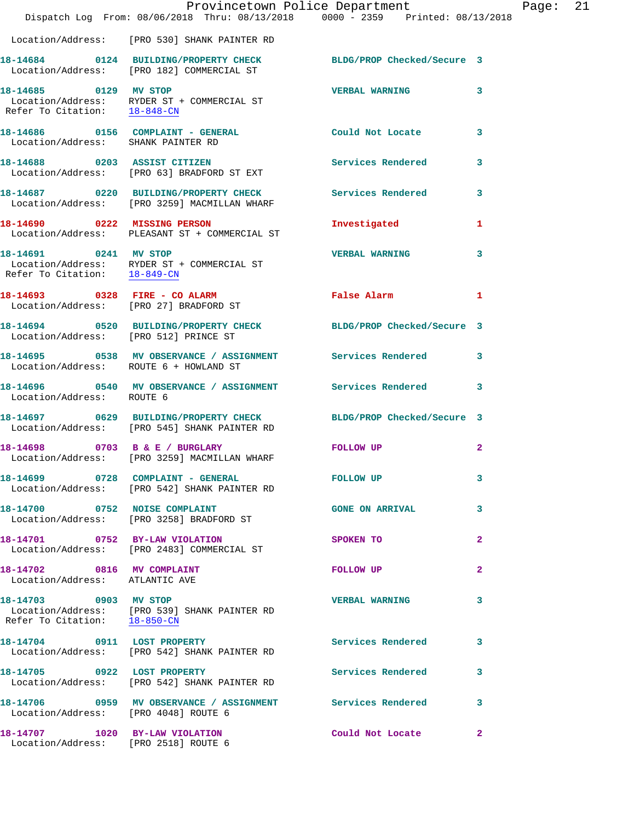|                                                                        | Provincetown Police Department<br>Dispatch Log From: 08/06/2018 Thru: 08/13/2018 0000 - 2359 Printed: 08/13/2018 |                          |              |
|------------------------------------------------------------------------|------------------------------------------------------------------------------------------------------------------|--------------------------|--------------|
|                                                                        | Location/Address: [PRO 530] SHANK PAINTER RD                                                                     |                          |              |
|                                                                        | 18-14684 0124 BUILDING/PROPERTY CHECK BLDG/PROP Checked/Secure 3<br>Location/Address: [PRO 182] COMMERCIAL ST    |                          |              |
| 18-14685 0129 MV STOP<br>Refer To Citation: 18-848-CN                  | Location/Address: RYDER ST + COMMERCIAL ST                                                                       | <b>VERBAL WARNING</b>    | 3            |
| Location/Address: SHANK PAINTER RD                                     | 18-14686 0156 COMPLAINT - GENERAL                                                                                | Could Not Locate         | 3            |
|                                                                        | 18-14688 0203 ASSIST CITIZEN<br>Location/Address: [PRO 63] BRADFORD ST EXT                                       | <b>Services Rendered</b> | 3            |
|                                                                        | 18-14687 0220 BUILDING/PROPERTY CHECK Services Rendered<br>Location/Address: [PRO 3259] MACMILLAN WHARF          |                          | 3            |
|                                                                        | 18-14690 0222 MISSING PERSON<br>Location/Address: PLEASANT ST + COMMERCIAL ST                                    | Investigated             | 1            |
| 18-14691 0241 MV STOP                                                  | Location/Address: RYDER ST + COMMERCIAL ST<br>Refer To Citation: 18-849-CN                                       | <b>VERBAL WARNING</b>    | 3            |
|                                                                        | 18-14693 0328 FIRE - CO ALARM<br>Location/Address: [PRO 27] BRADFORD ST                                          | False Alarm              | 1            |
| Location/Address: [PRO 512] PRINCE ST                                  | 18-14694 0520 BUILDING/PROPERTY CHECK BLDG/PROP Checked/Secure 3                                                 |                          |              |
| Location/Address: ROUTE 6 + HOWLAND ST                                 | 18-14695 0538 MV OBSERVANCE / ASSIGNMENT Services Rendered                                                       |                          | 3            |
| Location/Address: ROUTE 6                                              |                                                                                                                  |                          | 3            |
|                                                                        | 18-14697 0629 BUILDING/PROPERTY CHECK BLDG/PROP Checked/Secure 3<br>Location/Address: [PRO 545] SHANK PAINTER RD |                          |              |
|                                                                        | 18-14698 0703 B & E / BURGLARY<br>Location/Address: [PRO 3259] MACMILLAN WHARF                                   | FOLLOW UP                | $\mathbf{2}$ |
|                                                                        | 18-14699 0728 COMPLAINT - GENERAL<br>Location/Address: [PRO 542] SHANK PAINTER RD                                | FOLLOW UP                | 3            |
|                                                                        | 18-14700 0752 NOISE COMPLAINT<br>Location/Address: [PRO 3258] BRADFORD ST                                        | <b>GONE ON ARRIVAL</b>   | 3            |
|                                                                        | 18-14701 0752 BY-LAW VIOLATION<br>Location/Address: [PRO 2483] COMMERCIAL ST                                     | SPOKEN TO                | 2            |
| 18-14702 0816 MV COMPLAINT<br>Location/Address: ATLANTIC AVE           |                                                                                                                  | FOLLOW UP                | 2            |
| 18-14703 0903 MV STOP<br>Refer To Citation: 18-850-CN                  | Location/Address: [PRO 539] SHANK PAINTER RD                                                                     | <b>VERBAL WARNING</b>    | 3            |
|                                                                        | 18-14704 0911 LOST PROPERTY<br>Location/Address: [PRO 542] SHANK PAINTER RD                                      | <b>Services Rendered</b> | 3            |
| 18-14705 0922 LOST PROPERTY                                            | Location/Address: [PRO 542] SHANK PAINTER RD                                                                     | Services Rendered        | 3            |
| Location/Address: [PRO 4048] ROUTE 6                                   | 18-14706 0959 MV OBSERVANCE / ASSIGNMENT Services Rendered                                                       |                          | 3            |
| 18-14707 1020 BY-LAW VIOLATION<br>Location/Address: [PRO 2518] ROUTE 6 |                                                                                                                  | Could Not Locate         | $\mathbf{2}$ |

Page: 21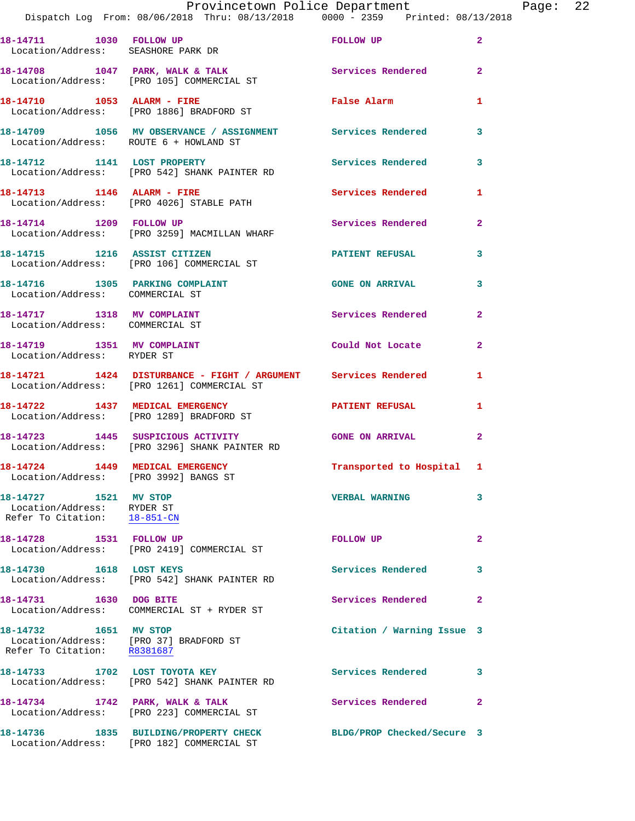|                                        | Provincetown Police Department<br>Dispatch Log From: 08/06/2018 Thru: 08/13/2018 0000 - 2359 Printed: 08/13/2018 |                          |                | Page: 22 |  |
|----------------------------------------|------------------------------------------------------------------------------------------------------------------|--------------------------|----------------|----------|--|
| Location/Address: SEASHORE PARK DR     | 18-14711 1030 FOLLOW UP POLEOW TO POLEOW UP                                                                      |                          | $\overline{2}$ |          |  |
|                                        | 18-14708 1047 PARK, WALK & TALK Services Rendered<br>Location/Address: [PRO 105] COMMERCIAL ST                   |                          | $\overline{2}$ |          |  |
|                                        | 18-14710 1053 ALARM - FIRE<br>Location/Address: [PRO 1886] BRADFORD ST                                           | <b>False Alarm</b>       | $\mathbf{1}$   |          |  |
| Location/Address: ROUTE 6 + HOWLAND ST | 18-14709 1056 MV OBSERVANCE / ASSIGNMENT Services Rendered 3                                                     |                          |                |          |  |
|                                        | Location/Address: [PRO 542] SHANK PAINTER RD                                                                     |                          | 3              |          |  |
|                                        | 18-14713 1146 ALARM - FIRE<br>Location/Address: [PRO 4026] STABLE PATH                                           | <b>Services Rendered</b> | $\mathbf{1}$   |          |  |
|                                        | 18-14714 1209 FOLLOW UP <b>Services</b> Rendered<br>Location/Address: [PRO 3259] MACMILLAN WHARF                 |                          | $\overline{2}$ |          |  |
|                                        | Location/Address: [PRO 106] COMMERCIAL ST                                                                        |                          | 3              |          |  |
|                                        | 18-14716 1305 PARKING COMPLAINT                                                                                  | <b>GONE ON ARRIVAL</b>   | 3              |          |  |

Location/Address: COMMERCIAL ST

**18-14719 1351 MV COMPLAINT Could Not Locate 2**  Location/Address: RYDER ST

**18-14721 1424 DISTURBANCE - FIGHT / ARGUMENT Services Rendered 1**  Location/Address: [PRO 1261] COMMERCIAL ST

**18-14727 1521 MV STOP VERBAL WARNING 3**  Location/Address: RYDER ST<br>Refer To Citation: 18-851-CN Refer To Citation:

Location/Address: [PRO 37] BRADFORD ST<br>Refer To Citation: R8381687 Refer To Citation:

Location/Address: COMMERCIAL ST

**18-14717 1318 MV COMPLAINT Services Rendered 2** 

**18-14722 1437 MEDICAL EMERGENCY PATIENT REFUSAL 1**  Location/Address: [PRO 1289] BRADFORD ST

**18-14723 1445 SUSPICIOUS ACTIVITY GONE ON ARRIVAL 2**  Location/Address: [PRO 3296] SHANK PAINTER RD

**18-14724 1449 MEDICAL EMERGENCY Transported to Hospital 1**  Location/Address: [PRO 3992] BANGS ST

**18-14728 1531 FOLLOW UP FOLLOW UP 2**  Location/Address: [PRO 2419] COMMERCIAL ST

Location/Address: [PRO 542] SHANK PAINTER RD

**18-14731 1630 DOG BITE Services Rendered 2** Location/Address: COMMERCIAL ST + RYDER ST

Location/Address: [PRO 542] SHANK PAINTER RD

18-14734 1742 PARK, WALK & TALK **Services Rendered** 2 Location/Address: [PRO 223] COMMERCIAL ST

**18-14736 1835 BUILDING/PROPERTY CHECK BLDG/PROP Checked/Secure 3**  Location/Address: [PRO 182] COMMERCIAL ST

18-14730 1618 LOST KEYS **Services Rendered** 3

**18-14732 1651 MV STOP Citation / Warning Issue 3** 

**18-14733 1702 LOST TOYOTA KEY Services Rendered 3**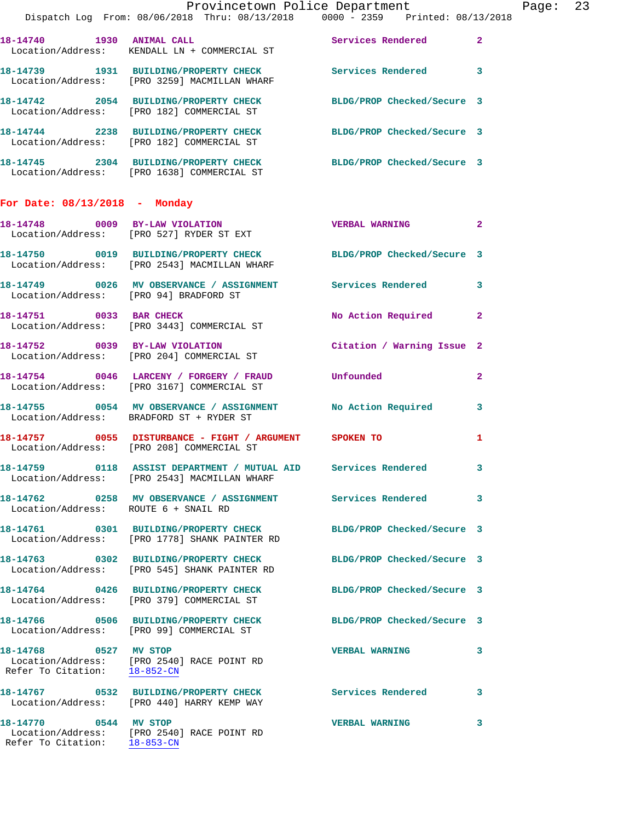|                                                       | Provincetown Police Department Page: 23<br>Dispatch Log From: 08/06/2018 Thru: 08/13/2018   0000 - 2359   Printed: 08/13/2018 |                            |                |  |
|-------------------------------------------------------|-------------------------------------------------------------------------------------------------------------------------------|----------------------------|----------------|--|
|                                                       | 18-14740 1930 ANIMAL CALL Services Rendered<br>Location/Address: KENDALL LN + COMMERCIAL ST                                   |                            | $\overline{2}$ |  |
|                                                       | 18-14739 1931 BUILDING/PROPERTY CHECK Services Rendered<br>Location/Address: [PRO 3259] MACMILLAN WHARF                       |                            | 3              |  |
|                                                       | 18-14742 2054 BUILDING/PROPERTY CHECK BLDG/PROP Checked/Secure 3<br>Location/Address: [PRO 182] COMMERCIAL ST                 |                            |                |  |
|                                                       | 18-14744 2238 BUILDING/PROPERTY CHECK BLDG/PROP Checked/Secure 3<br>Location/Address: [PRO 182] COMMERCIAL ST                 |                            |                |  |
|                                                       | 18-14745 2304 BUILDING/PROPERTY CHECK BLDG/PROP Checked/Secure 3<br>Location/Address: [PRO 1638] COMMERCIAL ST                |                            |                |  |
| For Date: $08/13/2018$ - Monday                       |                                                                                                                               |                            |                |  |
|                                                       | 18-14748 0009 BY-LAW VIOLATION<br>Location/Address: [PRO 527] RYDER ST EXT                                                    | <b>VERBAL WARNING</b>      | $\mathbf{2}$   |  |
|                                                       | 18-14750 0019 BUILDING/PROPERTY CHECK BLDG/PROP Checked/Secure 3<br>Location/Address: [PRO 2543] MACMILLAN WHARF              |                            |                |  |
| Location/Address: [PRO 94] BRADFORD ST                | 18-14749 0026 MV OBSERVANCE / ASSIGNMENT Services Rendered                                                                    |                            | 3              |  |
|                                                       | 18-14751 0033 BAR CHECK<br>Location/Address: [PRO 3443] COMMERCIAL ST                                                         | No Action Required         | $\mathbf{2}$   |  |
|                                                       | 18-14752 0039 BY-LAW VIOLATION<br>Location/Address: [PRO 204] COMMERCIAL ST                                                   | Citation / Warning Issue 2 |                |  |
|                                                       | 18-14754 0046 LARCENY / FORGERY / FRAUD Unfounded<br>Location/Address: [PRO 3167] COMMERCIAL ST                               |                            | $\mathbf{2}$   |  |
|                                                       | 18-14755 0054 MV OBSERVANCE / ASSIGNMENT No Action Required<br>Location/Address: BRADFORD ST + RYDER ST                       |                            | 3              |  |
|                                                       | 18-14757 0055 DISTURBANCE - FIGHT / ARGUMENT SPOKEN TO<br>Location/Address: [PRO 208] COMMERCIAL ST                           |                            | 1              |  |
|                                                       | 18-14759      0118 ASSIST DEPARTMENT / MUTUAL AID    Services Rendered<br>Location/Address: [PRO 2543] MACMILLAN WHARF        |                            | 3              |  |
| Location/Address: ROUTE 6 + SNAIL RD                  | 18-14762 0258 MV OBSERVANCE / ASSIGNMENT Services Rendered                                                                    |                            | 3              |  |
|                                                       | 18-14761 0301 BUILDING/PROPERTY CHECK BLDG/PROP Checked/Secure 3<br>Location/Address: [PRO 1778] SHANK PAINTER RD             |                            |                |  |
|                                                       | 18-14763 0302 BUILDING/PROPERTY CHECK BLDG/PROP Checked/Secure 3<br>Location/Address: [PRO 545] SHANK PAINTER RD              |                            |                |  |
|                                                       | 18-14764 0426 BUILDING/PROPERTY CHECK<br>Location/Address: [PRO 379] COMMERCIAL ST                                            | BLDG/PROP Checked/Secure 3 |                |  |
|                                                       | 18-14766 0506 BUILDING/PROPERTY CHECK BLDG/PROP Checked/Secure 3<br>Location/Address: [PRO 99] COMMERCIAL ST                  |                            |                |  |
| 18-14768 0527 MV STOP<br>Refer To Citation: 18-852-CN | Location/Address: [PRO 2540] RACE POINT RD                                                                                    | <b>VERBAL WARNING</b>      | 3              |  |
|                                                       | 18-14767 0532 BUILDING/PROPERTY CHECK Services Rendered<br>Location/Address: [PRO 440] HARRY KEMP WAY                         |                            | 3              |  |
| 18-14770 0544 MV STOP                                 | Location/Address: [PRO 2540] RACE POINT RD<br>Refer To Citation: 18-853-CN                                                    | <b>VERBAL WARNING</b>      | 3              |  |